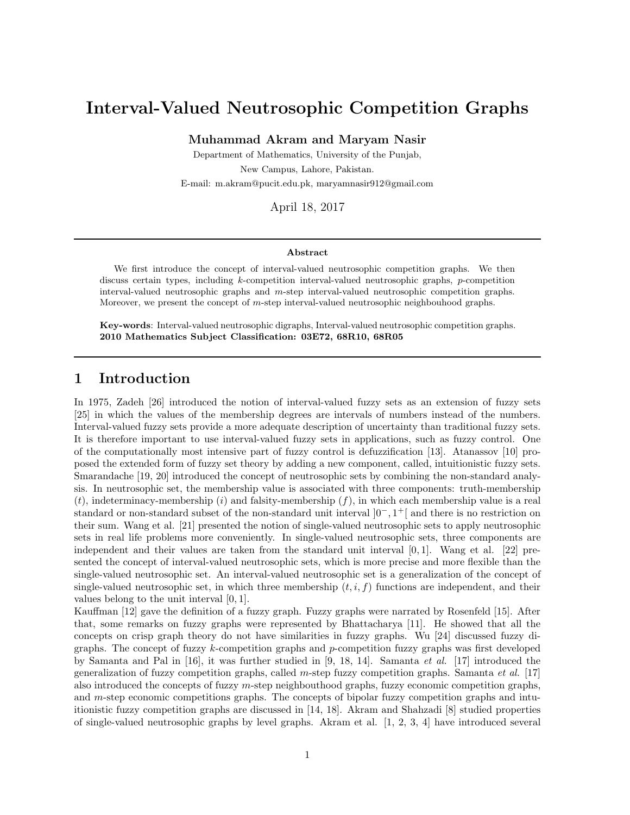# Interval-Valued Neutrosophic Competition Graphs

Muhammad Akram and Maryam Nasir

Department of Mathematics, University of the Punjab, New Campus, Lahore, Pakistan. E-mail: m.akram@pucit.edu.pk, maryamnasir912@gmail.com

April 18, 2017

### Abstract

We first introduce the concept of interval-valued neutrosophic competition graphs. We then discuss certain types, including k-competition interval-valued neutrosophic graphs, p-competition interval-valued neutrosophic graphs and m-step interval-valued neutrosophic competition graphs. Moreover, we present the concept of m-step interval-valued neutrosophic neighbouhood graphs.

Key-words: Interval-valued neutrosophic digraphs, Interval-valued neutrosophic competition graphs. 2010 Mathematics Subject Classification: 03E72, 68R10, 68R05

## 1 Introduction

In 1975, Zadeh [26] introduced the notion of interval-valued fuzzy sets as an extension of fuzzy sets [25] in which the values of the membership degrees are intervals of numbers instead of the numbers. Interval-valued fuzzy sets provide a more adequate description of uncertainty than traditional fuzzy sets. It is therefore important to use interval-valued fuzzy sets in applications, such as fuzzy control. One of the computationally most intensive part of fuzzy control is defuzzification [13]. Atanassov [10] proposed the extended form of fuzzy set theory by adding a new component, called, intuitionistic fuzzy sets. Smarandache [19, 20] introduced the concept of neutrosophic sets by combining the non-standard analysis. In neutrosophic set, the membership value is associated with three components: truth-membership  $(t)$ , indeterminacy-membership  $(i)$  and falsity-membership  $(f)$ , in which each membership value is a real standard or non-standard subset of the non-standard unit interval  $]0^-$ , 1<sup>+</sup>[ and there is no restriction on their sum. Wang et al. [21] presented the notion of single-valued neutrosophic sets to apply neutrosophic sets in real life problems more conveniently. In single-valued neutrosophic sets, three components are independent and their values are taken from the standard unit interval [0, 1]. Wang et al. [22] presented the concept of interval-valued neutrosophic sets, which is more precise and more flexible than the single-valued neutrosophic set. An interval-valued neutrosophic set is a generalization of the concept of single-valued neutrosophic set, in which three membership  $(t, i, f)$  functions are independent, and their values belong to the unit interval [0, 1].

Kauffman [12] gave the definition of a fuzzy graph. Fuzzy graphs were narrated by Rosenfeld [15]. After that, some remarks on fuzzy graphs were represented by Bhattacharya [11]. He showed that all the concepts on crisp graph theory do not have similarities in fuzzy graphs. Wu [24] discussed fuzzy digraphs. The concept of fuzzy k-competition graphs and p-competition fuzzy graphs was first developed by Samanta and Pal in [16], it was further studied in [9, 18, 14]. Samanta *et al.* [17] introduced the generalization of fuzzy competition graphs, called m-step fuzzy competition graphs. Samanta *et al.* [17] also introduced the concepts of fuzzy m-step neighbouthood graphs, fuzzy economic competition graphs, and  $m$ -step economic competitions graphs. The concepts of bipolar fuzzy competition graphs and intuitionistic fuzzy competition graphs are discussed in [14, 18]. Akram and Shahzadi [8] studied properties of single-valued neutrosophic graphs by level graphs. Akram et al. [1, 2, 3, 4] have introduced several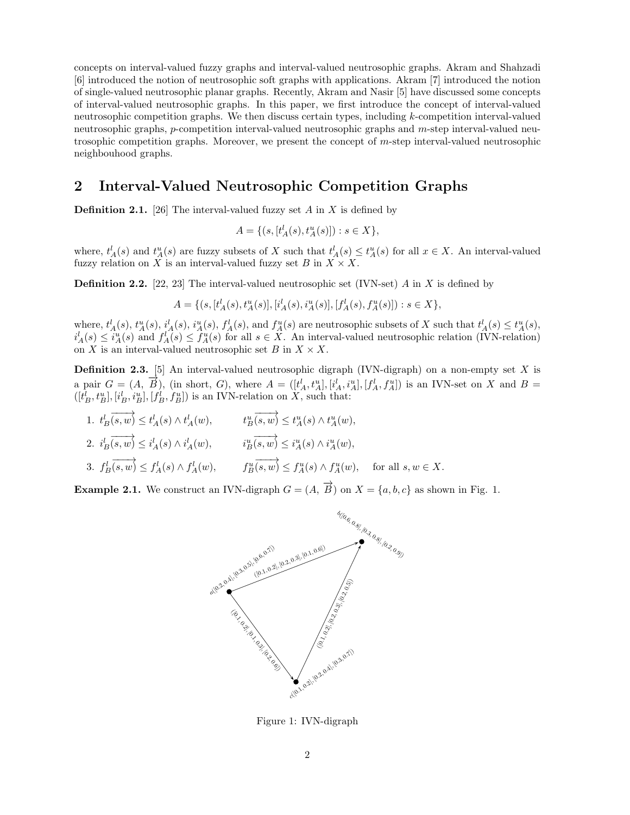concepts on interval-valued fuzzy graphs and interval-valued neutrosophic graphs. Akram and Shahzadi [6] introduced the notion of neutrosophic soft graphs with applications. Akram [7] introduced the notion of single-valued neutrosophic planar graphs. Recently, Akram and Nasir [5] have discussed some concepts of interval-valued neutrosophic graphs. In this paper, we first introduce the concept of interval-valued neutrosophic competition graphs. We then discuss certain types, including k-competition interval-valued neutrosophic graphs, p-competition interval-valued neutrosophic graphs and m-step interval-valued neutrosophic competition graphs. Moreover, we present the concept of m-step interval-valued neutrosophic neighbouhood graphs.

## 2 Interval-Valued Neutrosophic Competition Graphs

**Definition 2.1.** [26] The interval-valued fuzzy set A in X is defined by

$$
A = \{ (s, [t_A^l(s), t_A^u(s)]) : s \in X \},\
$$

where,  $t_A^l(s)$  and  $t_A^u(s)$  are fuzzy subsets of X such that  $t_A^l(s) \leq t_A^u(s)$  for all  $x \in X$ . An interval-valued fuzzy relation on X is an interval-valued fuzzy set B in  $X \times X$ .

**Definition 2.2.** [22, 23] The interval-valued neutrosophic set (IVN-set) A in X is defined by

$$
A = \{ (s, [t_A^l(s), t_A^u(s)], [i_A^l(s), i_A^u(s)], [f_A^l(s), f_A^u(s)]): s \in X \},\
$$

where,  $t_A^l(s)$ ,  $t_A^u(s)$ ,  $i_A^l(s)$ ,  $i_A^u(s)$ ,  $f_A^l(s)$ , and  $f_A^u(s)$  are neutrosophic subsets of X such that  $t_A^l(s) \le t_A^u(s)$ ,  $i_A^l(s) \leq i_A^u(s)$  and  $f_A^l(s) \leq f_A^u(s)$  for all  $s \in X$ . An interval-valued neutrosophic relation (IVN-relation) on X is an interval-valued neutrosophic set B in  $X \times X$ .

**Definition 2.3.** [5] An interval-valued neutrosophic digraph (IVN-digraph) on a non-empty set X is a pair  $G = (A, \overrightarrow{B})$ , (in short, G), where  $A = ([t_A', t_A'], [i_A', i_A'], [f_A', f_A'])$  is an IVN-set on X and  $B =$  $([t_B^l, t_B^u], [i_B^l, i_B^u], [f_B^l, f_B^u])$  is an IVN-relation on X, such that:

1.  $t_B^l(\overrightarrow{s,w}) \leq t_A^l(s) \wedge t_A^l(w)$ ,  $t_B^u(\overrightarrow{s,w}) \leq t_A^u(s) \wedge t_A^u(w)$ , 2.  $i_B^l$  $\overrightarrow{(s,w)} \leq i_A^l(s) \wedge i_A^l(w), \qquad i_B^u$  $\overrightarrow{(s,w)} \leq i_A^u(s) \wedge i_A^u(w),$  $3. f_B^l(\overrightarrow{s,w}) \leq f_A^l(s) \wedge f_A^l(w), \qquad f_B^u(\overrightarrow{s,w}) \leq f_A^u(s) \wedge f_A^u(w), \quad \text{ for all } s, w \in X.$ 

**Example 2.1.** We construct an IVN-digraph  $G = (A, \overrightarrow{B})$  on  $X = \{a, b, c\}$  as shown in Fig. 1.



Figure 1: IVN-digraph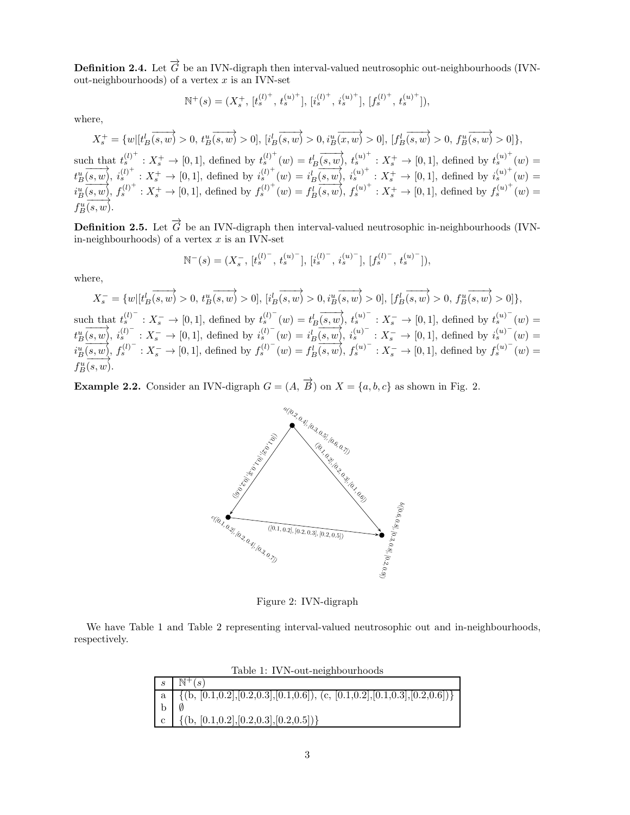**Definition 2.4.** Let  $\overrightarrow{G}$  be an IVN-digraph then interval-valued neutrosophic out-neighbourhoods (IVNout-neighbourhoods) of a vertex  $x$  is an IVN-set

$$
\mathbb{N}^+(s) = (X_s^+, [t_s^{(l)^+}, t_s^{(u)^+}], [i_s^{(l)^+}, i_s^{(u)^+}], [f_s^{(l)^+}, t_s^{(u)^+}]),
$$

where,

t

i

$$
X_s^+ = \{w | [t_B^l(s, w) > 0, t_B^u(s, w) > 0], [i_B^l(s, w) > 0, i_B^u(x, w) > 0], [f_B^l(s, w) > 0, f_B^u(s, w) > 0] \},
$$
  
such that  $t_s^{(l)^+}: X_s^+ \to [0, 1]$ , defined by  $t_s^{(l)^+}(w) = t_B^l(s, w)$ ,  $t_s^{(u)^+}: X_s^+ \to [0, 1]$ , defined by  $t_s^{(u)^+}(w) = t_B^u(s, w)$ ,  $i_s^{(u)^+}: X_s^+ \to [0, 1]$ , defined by  $i_s^{(u)^+}(w) = i_B^l(s, w)$ ,  $i_s^{(u)^+}: X_s^+ \to [0, 1]$ , defined by  $i_s^{(u)^+}(w) = i_B^u(s, w)$ ,  $f_s^{(u)^+}: X_s^+ \to [0, 1]$ , defined by  $f_s^{(u)^+}(w) = f_B^l(s, w)$ ,  $f_s^{(u)^+}: X_s^+ \to [0, 1]$ , defined by  $f_s^{(u)^+}(w) = f_B^u(s, w)$ .

**Definition 2.5.** Let  $\overrightarrow{G}$  be an IVN-digraph then interval-valued neutrosophic in-neighbourhoods (IVNin-neighbourhoods) of a vertex  $x$  is an IVN-set

$$
\mathbb{N}^{-}(s) = (X_s^{-}, [t_s^{(l)^{-}}, t_s^{(u)^{-}}], [i_s^{(l)^{-}}, i_s^{(u)^{-}}], [f_s^{(l)^{-}}, t_s^{(u)^{-}}]),
$$

where,

$$
X_s^- = \{w | [t_B^l(s, w) > 0, t_B^u(s, w) > 0], [i_B^l(s, w) > 0, i_B^u(s, w) > 0], [f_B^l(s, w) > 0, f_B^u(s, w) > 0, f_B^u(s, w) > 0] \},
$$
  
such that  $t_s^{(l)^-}: X_s^- \to [0, 1]$ , defined by  $t_s^{(l)^-}(w) = t_B^l(s, w)$ ,  $t_s^{(u)^-}: X_s^- \to [0, 1]$ , defined by  $t_s^{(u)^-}(w) = t_B^u(s, w)$ ,  $i_s^{(u)^-}: X_s^- \to [0, 1]$ , defined by  $i_s^{(u)^-}(w) = i_B^u(s, w)$ ,  $i_s^{(u)^-}: X_s^- \to [0, 1]$ , defined by  $i_s^{(u)^-}(w) = i_B^u(s, w)$ ,  $f_s^{(u)^-}: X_s^- \to [0, 1]$ , defined by  $f_s^{(u)^-}(w) = f_B^u(s, w)$ .

**Example 2.2.** Consider an IVN-digraph  $G = (A, \overrightarrow{B})$  on  $X = \{a, b, c\}$  as shown in Fig. 2.



Figure 2: IVN-digraph

We have Table 1 and Table 2 representing interval-valued neutrosophic out and in-neighbourhoods, respectively.

| Table 1: IVN-out-neighbourhoods |                                                                                                                                                                                                                                                                         |  |
|---------------------------------|-------------------------------------------------------------------------------------------------------------------------------------------------------------------------------------------------------------------------------------------------------------------------|--|
| $\mathbf{S}$                    | $\mathbb{N}^+(s)$                                                                                                                                                                                                                                                       |  |
|                                 | $\mid \begin{array}{l} \scriptstyle \mbox{a} \\ \scriptstyle \mbox{b} \end{array} \mid \begin{array}{l} \scriptstyle \overline{\{(b, \, [0.1, 0.2], [0.2, 0.3], [0.1, 0.6]), \, \, (c, \, [0.1, 0.2], [0.1, 0.3], [0.2, 0.6]) \}} \\ \scriptstyle \mbox{b} \end{array}$ |  |
|                                 |                                                                                                                                                                                                                                                                         |  |
|                                 | c   {(b, [0.1,0.2], [0.2,0.3], [0.2,0.5])}                                                                                                                                                                                                                              |  |

Table 1: IVN-out-neighbourhoods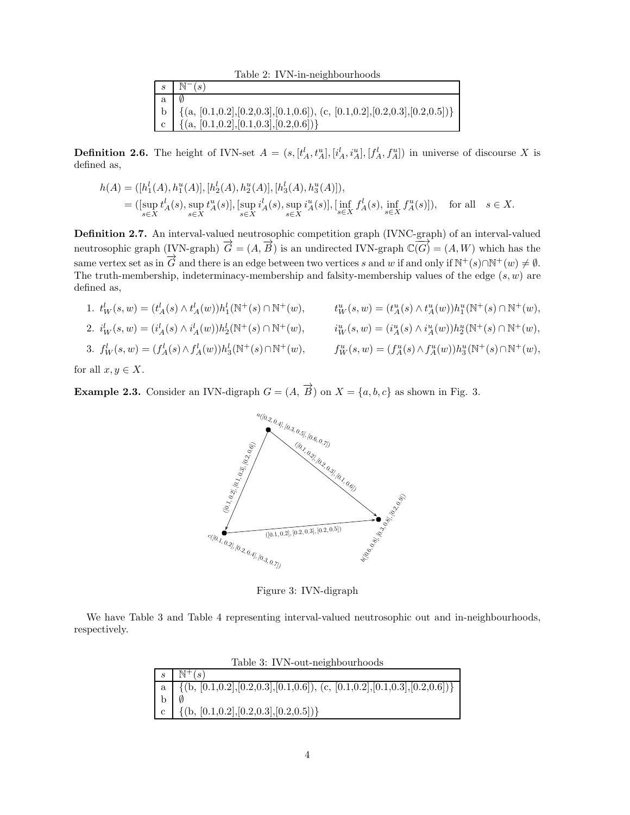Table 2: IVN-in-neighbourhoods

|                | $s \mid \mathbb{N}^{-}(s)$                                                                           |
|----------------|------------------------------------------------------------------------------------------------------|
| a <sub>1</sub> |                                                                                                      |
|                | b $\{({\rm a}, [0.1, 0.2], [0.2, 0.3], [0.1, 0.6]), ({\rm c}, [0.1, 0.2], [0.2, 0.3], [0.2, 0.5])\}$ |
|                | $\vert$ c $\vert$ {(a, [0.1,0.2], [0.1,0.3], [0.2,0.6])}                                             |

**Definition 2.6.** The height of IVN-set  $A = (s, [t_A^l, t_A^u], [i_A^l, i_A^u], [f_A^l, f_A^u])$  in universe of discourse X is defined as,

$$
h(A) = ([h_1^l(A), h_1^u(A)], [h_2^l(A), h_2^u(A)], [h_3^l(A), h_3^u(A)]),
$$
  
= ([\sup\_{s \in X} t\_A^l(s), \sup\_{s \in X} t\_A^u(s)], [\sup\_{s \in X} i\_A^l(s), \sup\_{s \in X} i\_A^u(s)], [\inf\_{s \in X} f\_A^l(s), \inf\_{s \in X} f\_A^u(s)]), \text{ for all } s \in X.

Definition 2.7. An interval-valued neutrosophic competition graph (IVNC-graph) of an interval-valued neutrosophic graph (IVN-graph)  $\overrightarrow{G} = (A, \overrightarrow{B})$  is an undirected IVN-graph  $\mathbb{C}(\overrightarrow{G}) = (A, W)$  which has the same vertex set as in  $\overrightarrow{G}$  and there is an edge between two vertices s and w if and only if  $\mathbb{N}^+(s) \cap \mathbb{N}^+(w) \neq \emptyset$ . The truth-membership, indeterminacy-membership and falsity-membership values of the edge  $(s, w)$  are defined as,

1.  $t^l_W(s, w) = (t^l_A(s) \wedge t^l_A(w))h^l_1(\mathbb{N}^+(s) \cap \mathbb{N}^+(w), \t t^u_W(s, w) = (t^u_A(s) \wedge t^u_A(w))h^u_1(\mathbb{N}^+(s) \cap \mathbb{N}^+(w),$ 2.  $i_W^l(s, w) = (i_A^l(s) \wedge i_A^l(w))h_2^l(\mathbb{N}^+(s) \cap \mathbb{N}^+(w), \qquad i_W^u(s, w) = (i_A^u(s) \wedge i_A^u(w))h_2^u(\mathbb{N}^+(s) \cap \mathbb{N}^+(w),$ 3.  $f_W^l(s, w) = (f_A^l(s) \wedge f_A^l(w))h_3^l(\mathbb{N}^+(s) \cap \mathbb{N}^+(w), \qquad f_W^u(s, w) = (f_A^u(s) \wedge f_A^u(w))h_3^u(\mathbb{N}^+(s) \cap \mathbb{N}^+(w),$ 

for all  $x, y \in X$ .

**Example 2.3.** Consider an IVN-digraph  $G = (A, \overrightarrow{B})$  on  $X = \{a, b, c\}$  as shown in Fig. 3.



Figure 3: IVN-digraph

We have Table 3 and Table 4 representing interval-valued neutrosophic out and in-neighbourhoods, respectively.

| Table 3: IVN-out-neighbourhoods |                                                                                                                                                                                  |  |
|---------------------------------|----------------------------------------------------------------------------------------------------------------------------------------------------------------------------------|--|
|                                 | $s \in \mathbb{N}^+(s)$                                                                                                                                                          |  |
|                                 | $\begin{array}{ c c c c c } \hline \text{a} & \{(b, [0.1, 0.2], [0.2, 0.3], [0.1, 0.6]), (c, [0.1, 0.2], [0.1, 0.3], [0.2, 0.6])\} \\ \hline \text{b} & \emptyset & \end{array}$ |  |
|                                 |                                                                                                                                                                                  |  |
|                                 | c $\{(\text{b}, [0.1, 0.2], [0.2, 0.3], [0.2, 0.5])\}$                                                                                                                           |  |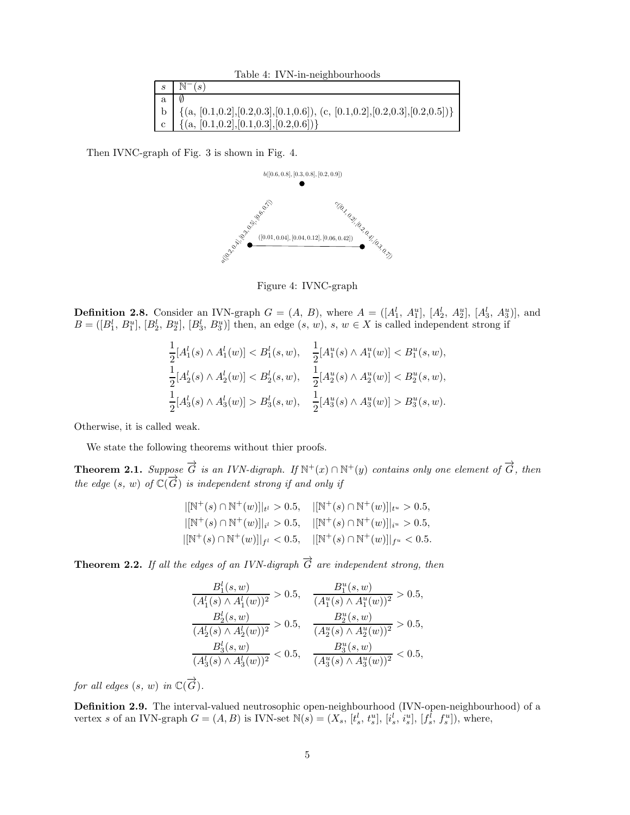Table 4: IVN-in-neighbourhoods

|                                 | $s \mid \mathbb{N}^{-}(s)$                                                                                                                       |
|---------------------------------|--------------------------------------------------------------------------------------------------------------------------------------------------|
| $a \downharpoonright \emptyset$ |                                                                                                                                                  |
|                                 | b { { $a, [0.1, 0.2], [0.2, 0.3], [0.1, 0.6]$ }, (c, $[0.1, 0.2], [0.2, 0.3], [0.2, 0.5])$ }<br>c { { $a, [0.1, 0.2], [0.1, 0.3], [0.2, 0.6])$ } |
|                                 |                                                                                                                                                  |

Then IVNC-graph of Fig. 3 is shown in Fig. 4.



Figure 4: IVNC-graph

**Definition 2.8.** Consider an IVN-graph  $G = (A, B)$ , where  $A = ([A_1^l, A_1^u], [A_2^l, A_2^u], [A_3^l, A_3^u)],$  and  $B = ([B_1^l, B_1^u], [B_2^l, B_2^u], [B_3^l, B_3^u]]$  then, an edge  $(s, w), s, w \in X$  is called independent strong if

$$
\frac{1}{2}[A_1^l(s) \wedge A_1^l(w)] < B_1^l(s, w), \quad \frac{1}{2}[A_1^u(s) \wedge A_1^u(w)] < B_1^u(s, w),
$$
\n
$$
\frac{1}{2}[A_2^l(s) \wedge A_2^l(w)] < B_2^l(s, w), \quad \frac{1}{2}[A_2^u(s) \wedge A_2^u(w)] < B_2^u(s, w),
$$
\n
$$
\frac{1}{2}[A_3^l(s) \wedge A_3^l(w)] > B_3^l(s, w), \quad \frac{1}{2}[A_3^u(s) \wedge A_3^u(w)] > B_3^u(s, w).
$$

Otherwise, it is called weak.

We state the following theorems without thier proofs.

**Theorem 2.1.** *Suppose*  $\overrightarrow{G}$  *is an IVN-digraph.* If  $\mathbb{N}^+(x) \cap \mathbb{N}^+(y)$  *contains only one element of*  $\overrightarrow{G}$ *, then*  $t$ he edge  $(s, w)$  of  $\mathbb{C}(\overrightarrow{G})$  *is independent strong if and only if* 

| $ [\mathbb{N}^+(s) \cap \mathbb{N}^+(w)] _{t^l} > 0.5, \quad  [\mathbb{N}^+(s) \cap \mathbb{N}^+(w)] _{t^u} > 0.5,$ |  |
|---------------------------------------------------------------------------------------------------------------------|--|
| $ [\mathbb{N}^+(s) \cap \mathbb{N}^+(w)] _{i^l} > 0.5, \quad  [\mathbb{N}^+(s) \cap \mathbb{N}^+(w)] _{i^u} > 0.5,$ |  |
| $ [\mathbb{N}^+(s) \cap \mathbb{N}^+(w)] _{f^l} < 0.5, \quad  [\mathbb{N}^+(s) \cap \mathbb{N}^+(w)] _{f^u} < 0.5.$ |  |

**Theorem 2.2.** *If all the edges of an IVN-digraph*  $\overrightarrow{G}$  *are independent strong, then* 

$$
\frac{B_1^l(s, w)}{(A_1^l(s) \land A_1^l(w))^2} > 0.5, \quad \frac{B_1^u(s, w)}{(A_1^u(s) \land A_1^u(w))^2} > 0.5, \n\frac{B_2^l(s, w)}{(A_2^l(s) \land A_2^l(w))^2} > 0.5, \quad \frac{B_2^u(s, w)}{(A_2^u(s) \land A_2^u(w))^2} > 0.5, \n\frac{B_3^l(s, w)}{(A_3^l(s) \land A_3^l(w))^2} < 0.5, \quad \frac{B_3^u(s, w)}{(A_3^u(s) \land A_3^u(w))^2} < 0.5,
$$

*for all edges*  $(s, w)$  *in*  $\mathbb{C}(\overrightarrow{G})$ *.* 

Definition 2.9. The interval-valued neutrosophic open-neighbourhood (IVN-open-neighbourhood) of a vertex s of an IVN-graph  $G = (A, B)$  is IVN-set  $\mathbb{N}(s) = (X_s, [t_s^l, t_s^u], [i_s^l, i_s^u], [f_s^l, f_s^u])$ , where,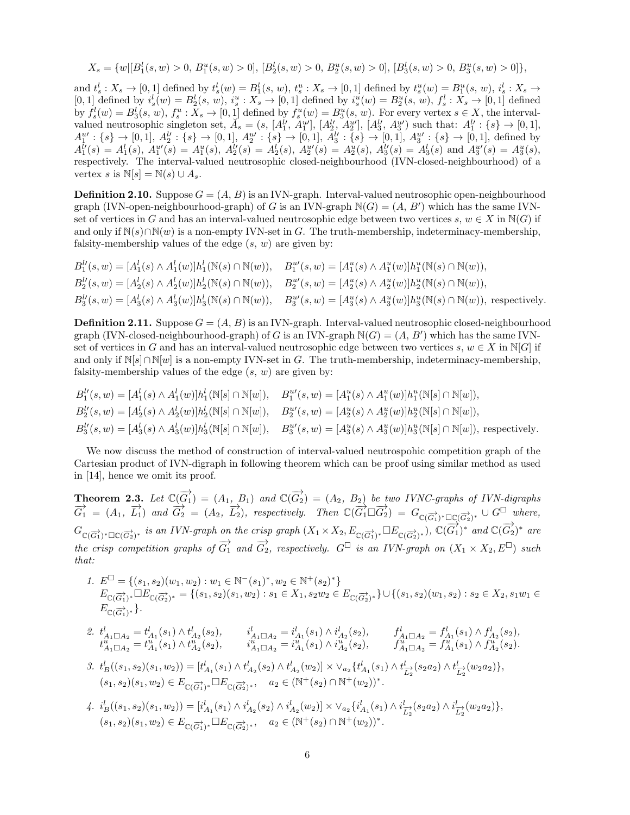$$
X_s = \{w | [B_1^l(s, w) > 0, B_1^u(s, w) > 0], [B_2^l(s, w) > 0, B_2^u(s, w) > 0], [B_3^l(s, w) > 0, B_3^u(s, w) > 0] \},
$$

and  $t_s^l: X_s \to [0,1]$  defined by  $t_s^l(w) = B_1^l(s, w), t_s^u: X_s \to [0,1]$  defined by  $t_s^u(w) = B_1^u(s, w), t_s^l: X_s \to [0,1]$ and  $i_s: X_s \to [0,1]$  defined by  $i_s(w) = B_1(s, w)$ ,  $i_s: X_s \to [0,1]$  defined by  $i_s'(w) = B_1'(s, w)$ ,  $i_s: X_s \to [0,1]$  defined by  $i_s'(w) = B_2^u(s, w)$ ,  $i_s' : X_s \to [0,1]$  defined by  $f_s^l(w) = B_3^l(s, w)$ ,  $f_s^u: X_s \to [0, 1]$  defined by  $f_s^u(w) = B_3^u(s, w)$ . For every vertex  $s \in X$ , the intervalvalued neutrosophic singleton set,  $\check{A}_s = (s, [A_1^{\check{l}_1}, A_1^{u'}], [A_2^{\check{l}_1}, A_2^{u'}], [A_3^{\check{l}_3}, A_3^{u'}]$  such that:  $A_1^{\check{l}_1} : \{s\} \to [0,1],$  $A_1^{u'}: \{s\} \to [0,1], A_2^{l'}: \{s\} \to [0,1], A_2^{u'}: \{s\} \to [0,1], A_3^{l'}: \{s\} \to [0,1], A_3^{u'}: \{s\} \to [0,1],$  defined by  $A_1^{\hat{U}}(s) = A_1^{\hat{U}}(s), \ A_1^{u\hat{U}}(s) = A_1^u(s), \ A_2^{\hat{U}}(s) = A_2^{\hat{U}}(s), \ A_2^{u\hat{U}}(s) = A_2^{\hat{u}}(s), \ A_3^{\hat{U}}(s) = A_3^{\hat{U}}(s) \ \text{and} \ A_3^{u\hat{U}}(s) = A_3^u(s),$ respectively. The interval-valued neutrosophic closed-neighbourhood (IVN-closed-neighbourhood) of a vertex s is  $\mathbb{N}[s] = \mathbb{N}(s) \cup A_s$ .

**Definition 2.10.** Suppose  $G = (A, B)$  is an IVN-graph. Interval-valued neutrosophic open-neighbourhood graph (IVN-open-neighbourhood-graph) of G is an IVN-graph  $N(G) = (A, B')$  which has the same IVNset of vertices in G and has an interval-valued neutrosophic edge between two vertices s,  $w \in X$  in  $N(G)$  if and only if  $\mathbb{N}(s) \cap \mathbb{N}(w)$  is a non-empty IVN-set in G. The truth-membership, indeterminacy-membership, falsity-membership values of the edge  $(s, w)$  are given by:

$$
B_1^{\{ \prime\}}(s, w) = [A_1^l(s) \wedge A_1^l(w)]h_1^l(\mathbb{N}(s) \cap \mathbb{N}(w)), \quad B_1^{u\prime}(s, w) = [A_1^u(s) \wedge A_1^u(w)]h_1^u(\mathbb{N}(s) \cap \mathbb{N}(w)),
$$
  
\n
$$
B_2^{\{ \prime\}}(s, w) = [A_2^l(s) \wedge A_2^l(w)]h_2^l(\mathbb{N}(s) \cap \mathbb{N}(w)), \quad B_2^{u\prime}(s, w) = [A_2^u(s) \wedge A_2^u(w)]h_2^u(\mathbb{N}(s) \cap \mathbb{N}(w)),
$$
  
\n
$$
B_3^{\{ \prime\}}(s, w) = [A_3^l(s) \wedge A_3^l(w)]h_3^l(\mathbb{N}(s) \cap \mathbb{N}(w)), \quad B_3^{u\prime}(s, w) = [A_3^u(s) \wedge A_3^u(w)]h_3^u(\mathbb{N}(s) \cap \mathbb{N}(w)),
$$
 respectively.

**Definition 2.11.** Suppose  $G = (A, B)$  is an IVN-graph. Interval-valued neutrosophic closed-neighbourhood graph (IVN-closed-neighbourhood-graph) of G is an IVN-graph  $N(G) = (A, B')$  which has the same IVNset of vertices in G and has an interval-valued neutrosophic edge between two vertices s,  $w \in X$  in  $\mathbb{N}[G]$  if and only if  $\mathbb{N}[s] \cap \mathbb{N}[w]$  is a non-empty IVN-set in G. The truth-membership, indeterminacy-membership, falsity-membership values of the edge  $(s, w)$  are given by:

$$
B_1^{\{ \prime\}}(s, w) = [A_1^l(s) \wedge A_1^l(w)]h_1^l(\mathbb{N}[s] \cap \mathbb{N}[w]), \quad B_1^{u\prime}(s, w) = [A_1^u(s) \wedge A_1^u(w)]h_1^u(\mathbb{N}[s] \cap \mathbb{N}[w]),
$$
  
\n
$$
B_2^{\{ \prime\}}(s, w) = [A_2^l(s) \wedge A_2^l(w)]h_2^l(\mathbb{N}[s] \cap \mathbb{N}[w]), \quad B_2^{u\prime}(s, w) = [A_2^u(s) \wedge A_2^u(w)]h_2^u(\mathbb{N}[s] \cap \mathbb{N}[w]),
$$
  
\n
$$
B_3^{l\prime}(s, w) = [A_3^l(s) \wedge A_3^l(w)]h_3^l(\mathbb{N}[s] \cap \mathbb{N}[w]), \quad B_3^{u\prime}(s, w) = [A_3^u(s) \wedge A_3^u(w)]h_3^u(\mathbb{N}[s] \cap \mathbb{N}[w]), \text{ respectively.}
$$

We now discuss the method of construction of interval-valued neutrospohic competition graph of the Cartesian product of IVN-digraph in following theorem which can be proof using similar method as used in [14], hence we omit its proof.

**Theorem 2.3.** Let  $\mathbb{C}(\overrightarrow{G_1}) = (A_1, B_1)$  and  $\mathbb{C}(\overrightarrow{G_2}) = (A_2, B_2)$  be two IVNC-graphs of IVN-digraphs  $\overrightarrow{G_1} = (A_1, \overrightarrow{L_1})$  and  $\overrightarrow{G_2} = (A_2, \overrightarrow{L_2})$ , respectively. Then  $\mathbb{C}(\overrightarrow{G_1} \square \overrightarrow{G_2}) = G_{\mathbb{C}(\overrightarrow{G_1})^* \square \mathbb{C}(\overrightarrow{G_2})^*} \cup G^{\square}$  where,  $G_{\mathbb{C}(\overrightarrow{G_1})^*\Box\mathbb{C}(\overrightarrow{G_2})^*}$  *is an IVN-graph on the crisp graph*  $(X_1 \times X_2, E_{\mathbb{C}(\overrightarrow{G_1})^*}\Box E_{\mathbb{C}(\overrightarrow{G_2})^*}), \mathbb{C}(\overrightarrow{G_1})^*$  *and*  $\mathbb{C}(\overrightarrow{G_2})^*$  *are the crisp competition graphs of*  $\overrightarrow{G_1}$  *and*  $\overrightarrow{G_2}$ *, respectively.*  $G^{\Box}$  *is an IVN-graph on*  $(X_1 \times X_2, E^{\Box})$  *such that:*

1.  $E^{\Box} = \{(s_1, s_2)(w_1, w_2) : w_1 \in \mathbb{N}^-(s_1)^*, w_2 \in \mathbb{N}^+(s_2)^* \}$  $E_{\mathbb{C}(\overrightarrow{G_1})^*}\square E_{\mathbb{C}(\overrightarrow{G_2})^*}=\{(s_1,s_2)(s_1,w_2): s_1\in X_1, s_2w_2\in E_{\mathbb{C}(\overrightarrow{G_2})^*}\}\cup \{(s_1,s_2)(w_1,s_2): s_2\in X_2, s_1w_1\in X_1, s_2w_2\in E_{\mathbb{C}(\overrightarrow{G_2})^*}\}$  $E_{\mathbb{C}(\overrightarrow{G_1})^*}\}.$ 

$$
\begin{array}{llll} \text{\it 2.} & t^l_{A_1 \square A_2} = t^l_{A_1}(s_1) \wedge t^l_{A_2}(s_2), & i^l_{A_1 \square A_2} = i^l_{A_1}(s_1) \wedge i^l_{A_2}(s_2), & f^l_{A_1 \square A_2} = f^l_{A_1}(s_1) \wedge f^l_{A_2}(s_2), \\ & t^u_{A_1 \square A_2} = t^u_{A_1}(s_1) \wedge t^u_{A_2}(s_2), & i^u_{A_1 \square A_2} = i^u_{A_1}(s_1) \wedge i^u_{A_2}(s_2), & f^l_{A_1 \square A_2} = f^u_{A_1}(s_1) \wedge f^u_{A_2}(s_2). \end{array}
$$

3. 
$$
t_B^l((s_1, s_2)(s_1, w_2)) = [t_{A_1}^l(s_1) \wedge t_{A_2}^l(s_2) \wedge t_{A_2}^l(w_2)] \times \vee_{a_2} \{t_{A_1}^l(s_1) \wedge t_{\overline{L_2}^l}(s_2 a_2) \wedge t_{\overline{L_2}^l}(w_2 a_2)\},
$$
  
\n $(s_1, s_2)(s_1, w_2) \in E_{\mathbb{C}(\overrightarrow{G_1})^*} \square E_{\mathbb{C}(\overrightarrow{G_2})^*}, \quad a_2 \in (\mathbb{N}^+(s_2) \cap \mathbb{N}^+(w_2))^*.$ 

4. 
$$
i_B^l((s_1, s_2)(s_1, w_2)) = [i_{A_1}^l(s_1) \wedge i_{A_2}^l(s_2) \wedge i_{A_2}^l(w_2)] \times \vee_{a_2} \{i_{A_1}^l(s_1) \wedge i_{\overline{L_2}}^l(s_2 a_2) \wedge i_{\overline{L_2}}^l(w_2 a_2)\},
$$
  
\n $(s_1, s_2)(s_1, w_2) \in E_{\mathbb{C}(\overrightarrow{G_1})^*} \square E_{\mathbb{C}(\overrightarrow{G_2})^*}, \quad a_2 \in (\mathbb{N}^+(s_2) \cap \mathbb{N}^+(w_2))^*.$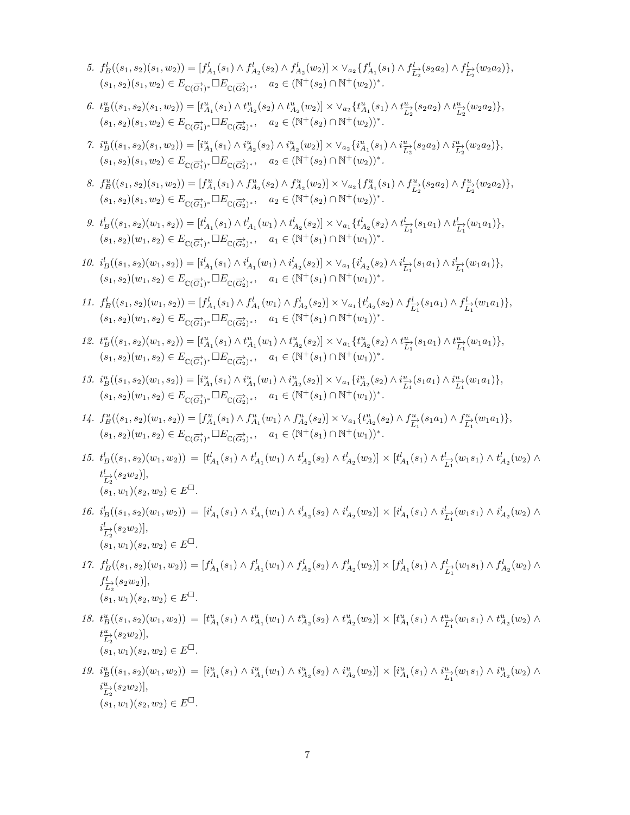- 5.  $f_B^l((s_1, s_2)(s_1, w_2)) = [f_{A_1}^l(s_1) \wedge f_{A_2}^l(s_2) \wedge f_{A_2}^l(w_2)] \times \vee_{a_2} \{f_{A_1}^l(s_1) \wedge f_{\overline{L_2}^l}(s_2a_2) \wedge f_{\overline{L_2}^l}(w_2a_2)\},$  $(s_1, s_2)(s_1, w_2) \in E_{\mathbb{C}(\overrightarrow{G_1})^*} \Box E_{\mathbb{C}(\overrightarrow{G_2})^*}, \quad a_2 \in (\mathbb{N}^+(s_2) \cap \mathbb{N}^+(w_2))^*.$
- 6.  $t_B^u((s_1, s_2)(s_1, w_2)) = [t_{A_1}^u(s_1) \wedge t_{A_2}^u(s_2) \wedge t_{A_2}^u(w_2)] \times \vee_{a_2} \{t_{A_1}^u(s_1) \wedge t_{\overline{L_2}^u}(s_2a_2) \wedge t_{\overline{L_2}^u}(w_2a_2)\},$  $(s_1, s_2)(s_1, w_2) \in E_{\mathbb{C}(\overrightarrow{G_1})^*} \square E_{\mathbb{C}(\overrightarrow{G_2})^*}, \quad a_2 \in (\mathbb{N}^+(s_2) \cap \mathbb{N}^+(w_2))^*.$
- $\label{eq:7} \text{7. } i_B^u \big( (s_1,s_2)(s_1,w_2) \big) = \big[ i_{A_1}^u(s_1) \wedge i_{A_2}^u(s_2) \wedge i_{A_2}^u(w_2) \big] \times \vee_{a_2} \{ i_{A_1}^u(s_1) \wedge i_{\overline{L}_2}^u(s_2 a_2) \wedge i_{\overline{L}_2}^u(w_2 a_2) \},$  $(s_1, s_2)(s_1, w_2) \in E_{\mathbb{C}(\overrightarrow{G_1})^*} \Box E_{\mathbb{C}(\overrightarrow{G_2})^*}, \quad a_2 \in (\mathbb{N}^+(s_2) \cap \mathbb{N}^+(w_2))^*.$
- 8.  $f_B^u((s_1, s_2)(s_1, w_2)) = [f_{A_1}^u(s_1) \wedge f_{A_2}^u(s_2) \wedge f_{A_2}^u(w_2)] \times \vee_{a_2} \{f_{A_1}^u(s_1) \wedge f_{L_2}^u(s_2a_2) \wedge f_{L_2}^u(w_2a_2)\},$  $(s_1, s_2)(s_1, w_2) \in E_{\mathbb{C}(\overrightarrow{G_1})^*} \Box E_{\mathbb{C}(\overrightarrow{G_2})^*}, \quad a_2 \in (\mathbb{N}^+(s_2) \cap \mathbb{N}^+(w_2))^*.$
- *9.*  $t_B^l((s_1, s_2)(w_1, s_2)) = [t_{A_1}^l(s_1) \wedge t_{A_1}^l(w_1) \wedge t_{A_2}^l(s_2)] \times \vee_{a_1} \{t_{A_2}^l(s_2) \wedge t_{\overline{L_1}^1}^l(s_1a_1) \wedge t_{\overline{L_1}^1}^l(w_1a_1)\},$  $(s_1, s_2)(w_1, s_2) \in E_{\mathbb{C}(\overrightarrow{G_1})^*} \square E_{\mathbb{C}(\overrightarrow{G_2})^*}, \quad a_1 \in (\mathbb{N}^+(s_1) \cap \mathbb{N}^+(w_1))^*.$
- 10.  $i_B^l((s_1, s_2)(w_1, s_2)) = [i_{A_1}^l(s_1) \wedge i_{A_1}^l(w_1) \wedge i_{A_2}^l(s_2)] \times \vee_{a_1} \{i_{A_2}^l(s_2) \wedge i_{\overline{L_1}^l}(s_1a_1) \wedge i_{\overline{L_1}^l}(w_1a_1)\},$  $(s_1, s_2)(w_1, s_2) \in E_{\mathbb{C}(\overrightarrow{G_1})^*} \Box E_{\mathbb{C}(\overrightarrow{G_2})^*}, \quad a_1 \in (\mathbb{N}^+(s_1) \cap \mathbb{N}^+(w_1))^*.$
- 11.  $f_B^l((s_1, s_2)(w_1, s_2)) = [f_{A_1}^l(s_1) \wedge f_{A_1}^l(w_1) \wedge f_{A_2}^l(s_2)] \times \vee_{a_1} \{t_{A_2}^l(s_2) \wedge f_{\overline{L_1}^1}^l(s_1a_1) \wedge f_{\overline{L_1}^1}^l(w_1a_1)\},$  $(s_1, s_2)(w_1, s_2) \in E_{\mathbb{C}(\overrightarrow{G_1})^*} \Box E_{\mathbb{C}(\overrightarrow{G_2})^*}, \quad a_1 \in (\mathbb{N}^+(s_1) \cap \mathbb{N}^+(w_1))^*.$
- $12.\ \ t_B^u((s_1,s_2)(w_1,s_2))=[t_{A_1}^u(s_1)\wedge t_{A_1}^u(w_1)\wedge t_{A_2}^u(s_2)]\times \vee_{a_1}\{t_{A_2}^u(s_2)\wedge t_{\overline{L_1}}^u(s_1a_1)\wedge t_{\overline{L_1}}^u(w_1a_1)\},$  $(s_1, s_2)(w_1, s_2) \in E_{\mathbb{C}(\overrightarrow{G_1})^*} \Box E_{\mathbb{C}(\overrightarrow{G_2})^*}, \quad a_1 \in (\mathbb{N}^+(s_1) \cap \mathbb{N}^+(w_1))^*.$
- $13.\ \ i_B^u((s_1,s_2)(w_1,s_2))=[i_{A_1}^u(s_1)\wedge i_{A_1}^u(w_1)\wedge i_{A_2}^u(s_2)]\times \vee_{a_1}\{i_{A_2}^u(s_2)\wedge i_{\overline{L_1}}^u(s_1a_1)\wedge i_{\overline{L_1}}^u(w_1a_1)\},$  $(s_1, s_2)(w_1, s_2) \in E_{\mathbb{C}(\overrightarrow{G_1})^*} \Box E_{\mathbb{C}(\overrightarrow{G_2})^*}, \quad a_1 \in (\mathbb{N}^+(s_1) \cap \mathbb{N}^+(w_1))^*.$
- $\label{eq:1} \begin{array}{ll} \displaystyle 14. \ \ f^u_B((s_1,s_2)(w_1,s_2))=[f^u_{A_1}(s_1)\wedge f^u_{A_1}(w_1)\wedge f^u_{A_2}(s_2)]\times \vee_{a_1}\{t^u_{A_2}(s_2)\wedge f^u_{\overrightarrow{L_1}}(s_1a_1)\wedge f^u_{\overrightarrow{L_1}}(w_1a_1)\}, \end{array}$  $(s_1, s_2)(w_1, s_2) \in E_{\mathbb{C}(\overrightarrow{G_1})^*} \Box E_{\mathbb{C}(\overrightarrow{G_2})^*}, \quad a_1 \in (\mathbb{N}^+(s_1) \cap \mathbb{N}^+(w_1))^*.$
- 15.  $t_B^l((s_1, s_2)(w_1, w_2)) = [t_{A_1}^l(s_1) \wedge t_{A_1}^l(w_1) \wedge t_{A_2}^l(s_2) \wedge t_{A_2}^l(w_2)] \times [t_{A_1}^l(s_1) \wedge t_{A_2}^l(w_1 s_1) \wedge t_{A_2}^l(w_2) \wedge t_{A_2}^l(w_1 s_1)]$  $t^l_{\overrightarrow{L_2}}(s_2w_2)],$  $(s_1, w_1)(s_2, w_2) \in E^{\square}.$
- 16.  $i_B^l((s_1, s_2)(w_1, w_2)) = [i_{A_1}^l(s_1) \wedge i_{A_1}^l(w_1) \wedge i_{A_2}^l(s_2) \wedge i_{A_2}^l(w_2)] \times [i_{A_1}^l(s_1) \wedge i_{\overline{L_1}}^l(w_1 s_1) \wedge i_{A_2}^l(w_2) \wedge i_{\overline{L_1}}^l(w_1 s_1) \wedge i_{\overline{L_2}}^l(w_2)$  $i_{\overrightarrow{L_2}}^l(s_2w_2)],$  $(s_1, w_1)(s_2, w_2) \in E^{\square}$ .
- 17.  $f_B^l((s_1, s_2)(w_1, w_2)) = [f_{A_1}^l(s_1) \wedge f_{A_1}^l(w_1) \wedge f_{A_2}^l(s_2) \wedge f_{A_2}^l(w_2)] \times [f_{A_1}^l(s_1) \wedge f_{L_1}^l(w_1 s_1) \wedge f_{A_2}^l(w_2) \wedge f_{L_2}^l(w_1 s_2)]$  $f_{\overrightarrow{L_2}}^l(s_2w_2)],$  $(s_1, w_1)(s_2, w_2) \in E^{\square}.$
- 18.  $t_B^u((s_1,s_2)(w_1,w_2)) = [t_{A_1}^u(s_1) \wedge t_{A_1}^u(w_1) \wedge t_{A_2}^u(s_2) \wedge t_{A_2}^u(w_2)] \times [t_{A_1}^u(s_1) \wedge t_{A_2}^u(w_1s_1) \wedge t_{A_2}^u(w_2) \wedge t_{A_2}^u(w_1s_1)]$  $t^u_{\overrightarrow{L_2}}(s_2w_2)],$  $(s_1, w_1)(s_2, w_2) \in E^{\square}$ .
- 19.  $i_B^u((s_1, s_2)(w_1, w_2)) = [i_{A_1}^u(s_1) \wedge i_{A_1}^u(w_1) \wedge i_{A_2}^u(s_2) \wedge i_{A_2}^u(w_2)] \times [i_{A_1}^u(s_1) \wedge i_{L_1}^u(w_1 s_1) \wedge i_{A_2}^u(w_2) \wedge i_{L_2}^u(w_1 s_2)]$  $i_{\overrightarrow{L_2}}^u(s_2w_2)],$  $(s_1, w_1)(s_2, w_2) \in E^{\square}$ .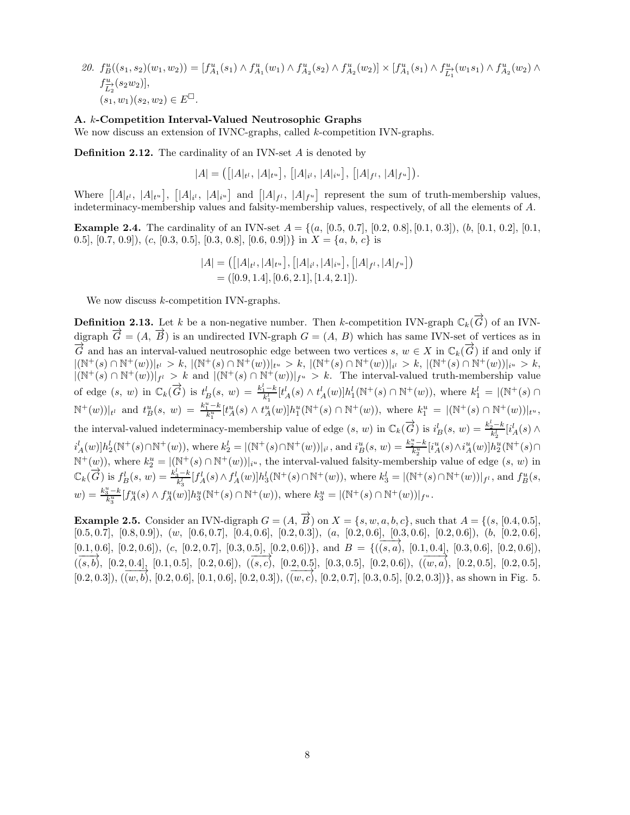20.  $f_B^u((s_1, s_2)(w_1, w_2)) = [f_{A_1}^u(s_1) \wedge f_{A_1}^u(w_1) \wedge f_{A_2}^u(s_2) \wedge f_{A_2}^u(w_2)] \times [f_{A_1}^u(s_1) \wedge f_{L_1}^u(w_1 s_1) \wedge f_{A_2}^u(w_2) \wedge$  $f^{\frac{u}{L_2}}(s_2w_2)],$  $(s_1, w_1)(s_2, w_2) \in E^{\square}$ .

#### A. k-Competition Interval-Valued Neutrosophic Graphs

We now discuss an extension of IVNC-graphs, called k-competition IVN-graphs.

**Definition 2.12.** The cardinality of an IVN-set  $A$  is denoted by

$$
|A| = ([|A|_{t^l}, |A|_{t^u}], [[A|_{i^l}, |A|_{i^u}], [[A|_{f^l}, |A|_{f^u}]).
$$

Where  $[|A|_{t^l}, |A|_{t^u}], [A|_{i^l}, |A|_{i^u}]$  and  $[|A|_{f^l}, |A|_{f^u}]$  represent the sum of truth-membership values, indeterminacy-membership values and falsity-membership values, respectively, of all the elements of A.

**Example 2.4.** The cardinality of an IVN-set  $A = \{(a, [0.5, 0.7], [0.2, 0.8], [0.1, 0.3]), (b, [0.1, 0.2], [0.1, 0.4], (0.1, 0.4), (0.1, 0.4), (0.1, 0.4), (0.1, 0.4), (0.1, 0.4), (0.1, 0.4), (0.1, 0.4), (0.1, 0.4), (0.1, 0.4), (0.1, 0.4), (0.1, 0.4), (0.1,$ 0.5], [0.7, 0.9]), (c, [0.3, 0.5], [0.3, 0.8], [0.6, 0.9])} in  $X = \{a, b, c\}$  is

$$
|A| = ([|A|_{t^l}, |A|_{t^u}], [|A|_{i^l}, |A|_{i^u}], [|A|_{f^l}, |A|_{f^u}])
$$
  
= ([0.9, 1.4], [0.6, 2.1], [1.4, 2.1]).

We now discuss  $k$ -competition IVN-graphs.

**Definition 2.13.** Let k be a non-negative number. Then k-competition IVN-graph  $\mathbb{C}_k(\overrightarrow{G})$  of an IVNdigraph  $\overrightarrow{G} = (A, \overrightarrow{B})$  is an undirected IVN-graph  $G = (A, B)$  which has same IVN-set of vertices as in  $\overrightarrow{G}$  and has an interval-valued neutrosophic edge between two vertices s,  $w \in X$  in  $\mathbb{C}_k(\overrightarrow{G})$  if and only if  $|({\Bbb N}^{+}(s) \cap {\Bbb N}^{+}(w))|_{t^{l}} \, > \, k, \, |({\Bbb N}^{+}(s) \cap {\Bbb N}^{+}(w))|_{t^{u}} \, > \, k, \, |({\Bbb N}^{+}(s) \cap {\Bbb N}^{+}(w))|_{i^{l}} \, > \, k, \, |({\Bbb N}^{+}(s) \cap {\Bbb N}^{+}(w))|_{i^{u}} \, > \, k,$  $|(\mathbb{N}^+(s) \cap \mathbb{N}^+(w))|_{f^l} > k$  and  $|(\mathbb{N}^+(s) \cap \mathbb{N}^+(w))|_{f^u} > k$ . The interval-valued truth-membership value of edge  $(s, w)$  in  $\mathbb{C}_k(\vec{G})$  is  $t^l_B(s, w) = \frac{k_1^l - k}{k_1^l} [t^l_A(s) \wedge t^l_A(w)] h_1^l(\mathbb{N}^+(s) \cap \mathbb{N}^+(w)),$  where  $k_1^l = |(\mathbb{N}^+(s) \cap \mathbb{N}^+(w))]$  $\mathbb{N}^+(w)|_{t^l}$  and  $t^u_B(s, w) = \frac{k_1^u - k_1}{k_1^u} [t^u_A(s) \wedge t^u_A(w)] h^u_1(\mathbb{N}^+(s) \cap \mathbb{N}^+(w)),$  where  $k_1^u = |(\mathbb{N}^+(s) \cap \mathbb{N}^+(w))|_{t^u}$ , the interval-valued indeterminacy-membership value of edge  $(s, w)$  in  $\mathbb{C}_k(\overrightarrow{G})$  is  $i_B^l(s, w) = \frac{k_2^l - k}{k_2^l} [i_A^l(s) \wedge$  $i_A^l(w) \, h_2^l(\mathbb{N}^+(s) \cap \mathbb{N}^+(w)),$  where  $k_2^l = |(\mathbb{N}^+(s) \cap \mathbb{N}^+(w))|_{i^l}$ , and  $i_B^u(s, w) = \frac{k_2^u - k}{k_2^u} [i_A^u(s) \wedge i_A^u(w)] h_2^u(\mathbb{N}^+(s) \cap \mathbb{N}^+(w)]$  $\mathbb{N}^+(w)$ , where  $k_2^u = |(\mathbb{N}^+(s) \cap \mathbb{N}^+(w))|_{i^u}$ , the interval-valued falsity-membership value of edge  $(s, w)$  in  $\mathbb{C}_k(\overrightarrow{G})$  is  $f_B^l(s, w) = \frac{k_3^l - k}{k_3^l} [f_A^l(s) \wedge f_A^l(w)] h_3^l(\mathbb{N}^+(s) \cap \mathbb{N}^+(w)),$  where  $k_3^l = |(\mathbb{N}^+(s) \cap \mathbb{N}^+(w))|_{f^l}$ , and  $f_B^u(s, w)$  $w) = \frac{k_3^{u}-k}{k_3^{u}} [f_A^u(s) \wedge f_A^u(w)] h_3^u(\mathbb{N}^+(s) \cap \mathbb{N}^+(w)),$  where  $k_3^u = |(\mathbb{N}^+(s) \cap \mathbb{N}^+(w))|_{f^u}$ .

**Example 2.5.** Consider an IVN-digraph  $G = (A, \overrightarrow{B})$  on  $X = \{s, w, a, b, c\}$ , such that  $A = \{(s, [0.4, 0.5],$  $[0.5, 0.7], [0.8, 0.9]), (w, [0.6, 0.7], [0.4, 0.6], [0.2, 0.3]), (a, [0.2, 0.6], [0.3, 0.6], [0.2, 0.6]), (b, [0.2, 0.6],$  $[0.1, 0.6]$ ,  $[0.2, 0.6]$ ),  $(c, [0.2, 0.7]$ ,  $[0.3, 0.5]$ ,  $[0.2, 0.6]$ )}, and  $B = \{((s, a), [0.1, 0.4]$ ,  $[0.3, 0.6]$ ,  $[0.2, 0.6]$ ),  $(\overline{(s,b)}, [0.2, 0.4], [0.1, 0.5], [0.2, 0.6]), (\overline{(s,c)}, [0.2, 0.5], [0.2, 0.5], [0.2, 0.6]), (\overline{(w,a)}, [0.2, 0.5], [0.2, 0.5],$  $(0.2, 0.3]$ ),  $(\overline{(w, b)}, [0.2, 0.6], [0.1, 0.6], [0.2, 0.3])$ ,  $(\overline{(w, c)}, [0.2, 0.7], [0.3, 0.5], [0.2, 0.3])$ }, as shown in Fig. 5.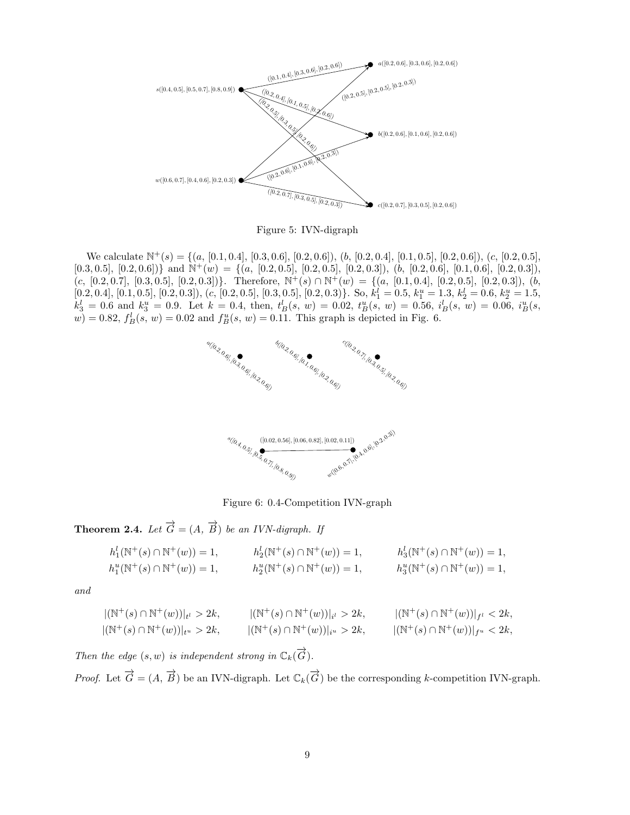

Figure 5: IVN-digraph

We calculate  $\mathbb{N}^+(s) = \{(a, [0.1, 0.4], [0.3, 0.6], [0.2, 0.6]), (b, [0.2, 0.4], [0.1, 0.5], [0.2, 0.6]), (c, [0.2, 0.5],$  $[0.3, 0.5], [0.2, 0.6])\}$  and  $\mathbb{N}^+(w) = \{(a, [0.2, 0.5], [0.2, 0.5], [0.2, 0.3]), (b, [0.2, 0.6], [0.1, 0.6], [0.2, 0.3]),$  $(c, [0.2, 0.7], [0.3, 0.5], [0.2, 0.3])\}.$  Therefore,  $\mathbb{N}^+(s) \cap \mathbb{N}^+(w) = \{(a, [0.1, 0.4], [0.2, 0.5], [0.2, 0.3]), (b, 0.5], [0.2, 0.5], [0.2, 0.5]\}.$  $[0.2, 0.4], [0.1, 0.5], [0.2, 0.3]), (c, [0.2, 0.5], [0.3, 0.5], [0.2, 0.3) \}$ . So,  $k_1^l = 0.5, k_1^u = 1.3, k_2^l = 0.6, k_2^u = 1.5,$  $k_3^l = 0.6$  and  $k_3^u = 0.9$ . Let  $k = 0.4$ , then,  $t_B^l(s, w) = 0.02$ ,  $t_B^u(s, w) = 0.56$ ,  $i_B^l(s, w) = 0.06$ ,  $i_B^u(s, w)$  $w$ ) = 0.82,  $f_B^l(s, w) = 0.02$  and  $f_B^u(s, w) = 0.11$ . This graph is depicted in Fig. 6.



Figure 6: 0.4-Competition IVN-graph

**Theorem 2.4.** *Let*  $\overrightarrow{G} = (A, \overrightarrow{B})$  *be an IVN-digraph. If* 

$$
h_1^l(\mathbb{N}^+(s) \cap \mathbb{N}^+(w)) = 1, \t h_2^l(\mathbb{N}^+(s) \cap \mathbb{N}^+(w)) = 1, \t h_3^l(\mathbb{N}^+(s) \cap \mathbb{N}^+(w)) = 1, h_1^u(\mathbb{N}^+(s) \cap \mathbb{N}^+(w)) = 1, \t h_2^u(\mathbb{N}^+(s) \cap \mathbb{N}^+(w)) = 1, \t h_3^u(\mathbb{N}^+(s) \cap \mathbb{N}^+(w)) = 1,
$$

*and*

$$
|(\mathbb{N}^+(s) \cap \mathbb{N}^+(w))|_{t^l} > 2k, \t |\mathbb{N}^+(s) \cap \mathbb{N}^+(w))|_{i^l} > 2k, \t |\mathbb{N}^+(s) \cap \mathbb{N}^+(w)|_{f^l} < 2k, |\mathbb{N}^+(s) \cap \mathbb{N}^+(w)|_{t^u} > 2k, \t |\mathbb{N}^+(s) \cap \mathbb{N}^+(w)|_{i^u} > 2k, \t |\mathbb{N}^+(s) \cap \mathbb{N}^+(w)|_{f^u} < 2k,
$$

*Then the edge*  $(s, w)$  *is independent strong in*  $\mathbb{C}_k(\overrightarrow{G})$ *.* 

*Proof.* Let  $\overrightarrow{G} = (A, \overrightarrow{B})$  be an IVN-digraph. Let  $\mathbb{C}_k(\overrightarrow{G})$  be the corresponding k-competition IVN-graph.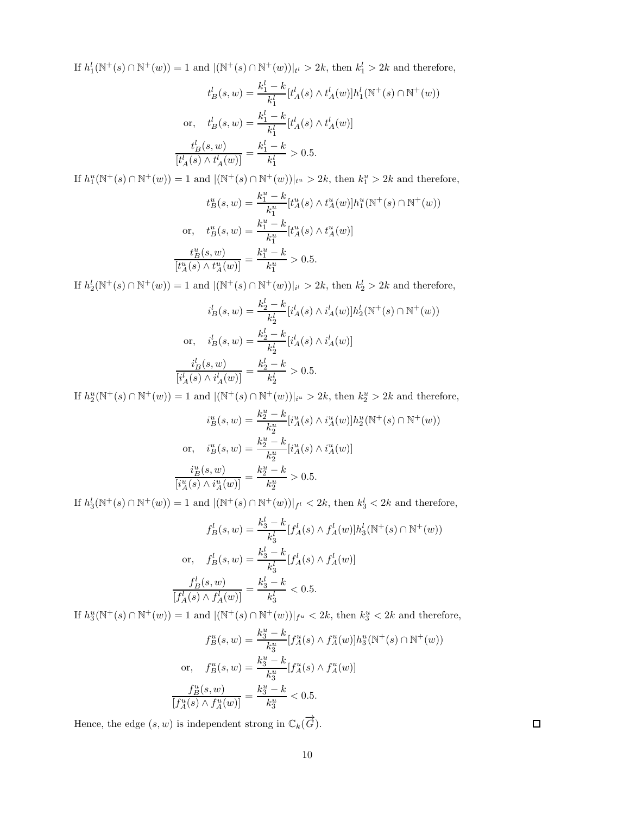If  $h_1^l(\mathbb{N}^+(s) \cap \mathbb{N}^+(w)) = 1$  and  $|(\mathbb{N}^+(s) \cap \mathbb{N}^+(w))|_{t^l} > 2k$ , then  $k_1^l > 2k$  and therefore,

$$
t_B^l(s, w) = \frac{k_1^l - k}{k_1^l} [t_A^l(s) \wedge t_A^l(w)] h_1^l(\mathbb{N}^+(s) \cap \mathbb{N}^+(w))
$$
  
or, 
$$
t_B^l(s, w) = \frac{k_1^l - k}{k_1^l} [t_A^l(s) \wedge t_A^l(w)]
$$

$$
\frac{t_B^l(s, w)}{[t_A^l(s) \wedge t_A^l(w)]} = \frac{k_1^l - k}{k_1^l} > 0.5.
$$

If  $h_1^u(\mathbb{N}^+(s) \cap \mathbb{N}^+(w)) = 1$  and  $|(\mathbb{N}^+(s) \cap \mathbb{N}^+(w))|_{t^u} > 2k$ , then  $k_1^u > 2k$  and therefore,

$$
t_B^u(s, w) = \frac{k_1^u - k}{k_1^u} [t_A^u(s) \wedge t_A^u(w)] h_1^u(\mathbb{N}^+(s) \cap \mathbb{N}^+(w))
$$
  
or, 
$$
t_B^u(s, w) = \frac{k_1^u - k}{k_1^u} [t_A^u(s) \wedge t_A^u(w)]
$$

$$
\frac{t_B^u(s, w)}{[t_A^u(s) \wedge t_A^u(w)]} = \frac{k_1^u - k}{k_1^u} > 0.5.
$$

If  $h_2^l(\mathbb{N}^+(s) \cap \mathbb{N}^+(w)) = 1$  and  $|(\mathbb{N}^+(s) \cap \mathbb{N}^+(w))|_{i^l} > 2k$ , then  $k_2^l > 2k$  and therefore,

$$
i_B^l(s, w) = \frac{k_2^l - k}{k_2^l} [i_A^l(s) \wedge i_A^l(w)] h_2^l(\mathbb{N}^+(s) \cap \mathbb{N}^+(w))
$$
  
or, 
$$
i_B^l(s, w) = \frac{k_2^l - k}{k_2^l} [i_A^l(s) \wedge i_A^l(w)]
$$

$$
\frac{i_B^l(s, w)}{[i_A^l(s) \wedge i_A^l(w)]} = \frac{k_2^l - k}{k_2^l} > 0.5.
$$

If  $h_2^u(\mathbb{N}^+(s) \cap \mathbb{N}^+(w)) = 1$  and  $|(\mathbb{N}^+(s) \cap \mathbb{N}^+(w))|_{i^u} > 2k$ , then  $k_2^u > 2k$  and therefore,

$$
i_B^u(s, w) = \frac{k_2^u - k}{k_2^u} [i_A^u(s) \wedge i_A^u(w)] h_2^u(\mathbb{N}^+(s) \cap \mathbb{N}^+(w))
$$
  
or, 
$$
i_B^u(s, w) = \frac{k_2^u - k}{k_2^u} [i_A^u(s) \wedge i_A^u(w)]
$$

$$
\frac{i_B^u(s, w)}{[i_A^u(s) \wedge i_A^u(w)]} = \frac{k_2^u - k}{k_2^u} > 0.5.
$$

If  $h_3^l(\mathbb{N}^+(s) \cap \mathbb{N}^+(w)) = 1$  and  $|(\mathbb{N}^+(s) \cap \mathbb{N}^+(w))|_{f^l} < 2k$ , then  $k_3^l < 2k$  and therefore,

$$
f_B^l(s, w) = \frac{k_3^l - k}{k_3^l} [f_A^l(s) \wedge f_A^l(w)] h_3^l(\mathbb{N}^+(s) \cap \mathbb{N}^+(w))
$$
  
or, 
$$
f_B^l(s, w) = \frac{k_3^l - k}{k_3^l} [f_A^l(s) \wedge f_A^l(w)]
$$

$$
\frac{f_B^l(s, w)}{[f_A^l(s) \wedge f_A^l(w)]} = \frac{k_3^l - k}{k_3^l} < 0.5.
$$

If  $h_3^u(\mathbb{N}^+(s) \cap \mathbb{N}^+(w)) = 1$  and  $|(\mathbb{N}^+(s) \cap \mathbb{N}^+(w))|_{f^u} < 2k$ , then  $k_3^u < 2k$  and therefore,

$$
f_B^u(s, w) = \frac{k_3^u - k}{k_3^u} [f_A^u(s) \wedge f_A^u(w)] h_3^u(\mathbb{N}^+(s) \cap \mathbb{N}^+(w))
$$
  
or, 
$$
f_B^u(s, w) = \frac{k_3^u - k}{k_3^u} [f_A^u(s) \wedge f_A^u(w)]
$$

$$
\frac{f_B^u(s, w)}{[f_A^u(s) \wedge f_A^u(w)]} = \frac{k_3^u - k}{k_3^u} < 0.5.
$$

Hence, the edge  $(s, w)$  is independent strong in  $\mathbb{C}_k(\overrightarrow{G})$ .

 $\Box$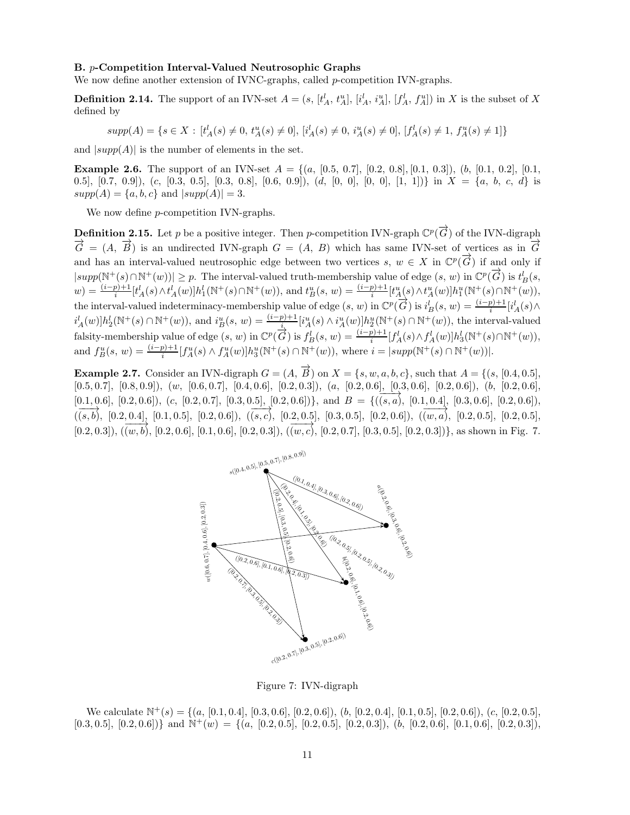### B. p-Competition Interval-Valued Neutrosophic Graphs

We now define another extension of IVNC-graphs, called p-competition IVN-graphs.

**Definition 2.14.** The support of an IVN-set  $A = (s, [t_A^l, t_A^u], [i_A^l, i_A^u], [f_A^l, f_A^u])$  in X is the subset of X defined by

 $supp(A) = \{s \in X : [t_A^l(s) \neq 0, t_A^u(s) \neq 0], [i_A^l(s) \neq 0, i_A^u(s) \neq 0], [f_A^l(s) \neq 1, f_A^u(s) \neq 1]\}$ 

and  $|supp(A)|$  is the number of elements in the set.

**Example 2.6.** The support of an IVN-set  $A = \{(a, [0.5, 0.7], [0.2, 0.8], [0.1, 0.3]), (b, [0.1, 0.2], [0.1, 0.4], [0.1, 0.4], [0.1, 0.4], [0.1, 0.4], [0.1, 0.4], [0.1, 0.4], [0.1, 0.4], [0.1, 0.4], [0.1, 0.4], [0.1, 0.4], [0.1, 0.4], [0.1, 0.4], [0.1, 0.4],$ 0.5],  $[0.7, 0.9]$ ,  $(c, [0.3, 0.5], [0.3, 0.8], [0.6, 0.9]), (d, [0, 0], [0, 0], [1, 1])\}$  in  $X = \{a, b, c, d\}$  is  $supp(A) = \{a, b, c\}$  and  $|supp(A)| = 3$ .

We now define *p*-competition IVN-graphs.

**Definition 2.15.** Let p be a positive integer. Then p-competition IVN-graph  $\mathbb{C}^p(\overrightarrow{G})$  of the IVN-digraph  $\overrightarrow{G} = (A, \overrightarrow{B})$  is an undirected IVN-graph  $G = (A, B)$  which has same IVN-set of vertices as in  $\overrightarrow{G}$ and has an interval-valued neutrosophic edge between two vertices s,  $w \in X$  in  $\mathbb{C}^p(\overrightarrow{G})$  if and only if  $|supp(\mathbb{N}^+(s) \cap \mathbb{N}^+(w))| \geq p$ . The interval-valued truth-membership value of edge  $(s, w)$  in  $\mathbb{C}^p(\overrightarrow{G})$  is  $t_B^l(s, w)$  $w) = \frac{(i-p)+1}{i} [t_A^l(s) \wedge t_A^l(w)] h_1^l(\mathbb{N}^+(s) \cap \mathbb{N}^+(w)),$  and  $t_B^u(s, w) = \frac{(i-p)+1}{i} [t_A^u(s) \wedge t_A^u(w)] h_1^u(\mathbb{N}^+(s) \cap \mathbb{N}^+(w)),$ the interval-valued indeterminacy-membership value of edge  $(s, w)$  in  $\mathbb{C}^p(\overrightarrow{G})$  is  $i_B^l(s, w) = \frac{(i-p)+1}{i}[i_A^l(s) \wedge$  $i_A^l(w) \, h_2^l(\mathbb{N}^+(s) \cap \mathbb{N}^+(w))$ , and  $i_B^u(s, w) = \frac{(i-p)+1}{i} [i_A^u(s) \wedge i_A^u(w)] \, h_2^u(\mathbb{N}^+(s) \cap \mathbb{N}^+(w))$ , the interval-valued falsity-membership value of edge  $(s, w)$  in  $\mathbb{C}^p(\overrightarrow{G})$  is  $f_B^l(s, w) = \frac{(i-p)+1}{i}[f_A^l(s) \wedge f_A^l(w)]h_3^l(\mathbb{N}^+(s) \cap \mathbb{N}^+(w)),$ and  $f_B^u(s, w) = \frac{(i-p)+1}{i} [f_A^u(s) \wedge f_A^u(w)] h_3^u(\mathbb{N}^+(s) \cap \mathbb{N}^+(w)),$  where  $i = |supp(\mathbb{N}^+(s) \cap \mathbb{N}^+(w))|$ .

**Example 2.7.** Consider an IVN-digraph  $G = (A, \overrightarrow{B})$  on  $X = \{s, w, a, b, c\}$ , such that  $A = \{(s, [0.4, 0.5],$  $[0.5, 0.7], [0.8, 0.9]), (w, [0.6, 0.7], [0.4, 0.6], [0.2, 0.3]), (a, [0.2, 0.6], [0.3, 0.6], [0.2, 0.6]), (b, [0.2, 0.6],$  $[0.1, 0.6]$ ,  $[0.2, 0.6]$ ),  $(c, [0.2, 0.7]$ ,  $[0.3, 0.5]$ ,  $[0.2, 0.6]$ )}, and  $B = \{((s, a), [0.1, 0.4]$ ,  $[0.3, 0.6]$ ,  $[0.2, 0.6]$ ),  $(\overline{(s,b)}, [0.2, 0.4], [0.1, 0.5], [0.2, 0.6]), (\overline{(s,c)}, [0.2, 0.5], [0.2, 0.5], [0.2, 0.6]), (\overline{(w,a)}, [0.2, 0.5], [0.2, 0.5], [0.2, 0.5], [0.2, 0.5], [0.2, 0.5], [0.2, 0.5], [0.2, 0.5], [0.2, 0.5], [0.2, 0.5], [0.2, 0.5], [0.2, 0.5], [0.2, 0.5], [0.2, 0.5], [0.2, 0.5$  $[0.2, 0.3]$ ,  $(\overline{(w, b)}$ ,  $[0.2, 0.6]$ ,  $[0.1, 0.6]$ ,  $[0.2, 0.3]$ ),  $(\overline{(w, c)}$ ,  $[0.2, 0.7]$ ,  $[0.3, 0.5]$ ,  $[0.2, 0.3]$ )}, as shown in Fig. 7.



Figure 7: IVN-digraph

We calculate  $\mathbb{N}^+(s) = \{(a, [0.1, 0.4], [0.3, 0.6], [0.2, 0.6]), (b, [0.2, 0.4], [0.1, 0.5], [0.2, 0.6]), (c, [0.2, 0.5],$  $[0.3, 0.5], [0.2, 0.6])\}$  and  $\mathbb{N}^+(w) = \{(a, [0.2, 0.5], [0.2, 0.5], [0.2, 0.3]), (b, [0.2, 0.6], [0.1, 0.6], [0.2, 0.3]),$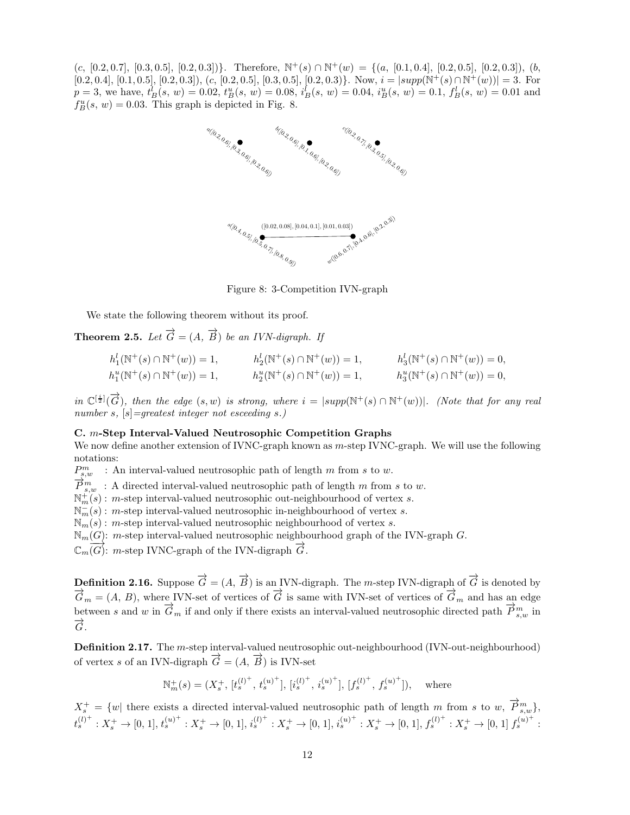$(c, [0.2, 0.7], [0.3, 0.5], [0.2, 0.3])\}.$  Therefore,  $\mathbb{N}^+(s) \cap \mathbb{N}^+(w) = \{(a, [0.1, 0.4], [0.2, 0.5], [0.2, 0.3]), (b, 0.5], [0.2, 0.5], [0.2, 0.5]\}.$  $[0.2, 0.4], [0.1, 0.5], [0.2, 0.3]), (c, [0.2, 0.5], [0.3, 0.5], [0.2, 0.3]).$  Now,  $i = |supp(\mathbb{N}^+(s) \cap \mathbb{N}^+(w))| = 3$ . For  $p = 3$ , we have,  $t_B^l(s, w) = 0.02$ ,  $t_B^u(s, w) = 0.08$ ,  $i_B^l(s, w) = 0.04$ ,  $i_B^u(s, w) = 0.1$ ,  $f_B^l(s, w) = 0.01$  and  $f_B^u(s, w) = 0.03$ . This graph is depicted in Fig. 8.



Figure 8: 3-Competition IVN-graph

We state the following theorem without its proof.

**Theorem 2.5.** *Let*  $\overrightarrow{G} = (A, \overrightarrow{B})$  *be an IVN-digraph. If* 

$$
h_1^l(\mathbb{N}^+(s) \cap \mathbb{N}^+(w)) = 1, \t h_2^l(\mathbb{N}^+(s) \cap \mathbb{N}^+(w)) = 1, \t h_3^l(\mathbb{N}^+(s) \cap \mathbb{N}^+(w)) = 0,
$$
  
\n
$$
h_1^u(\mathbb{N}^+(s) \cap \mathbb{N}^+(w)) = 1, \t h_2^u(\mathbb{N}^+(s) \cap \mathbb{N}^+(w)) = 1, \t h_3^u(\mathbb{N}^+(s) \cap \mathbb{N}^+(w)) = 0,
$$

 $in \mathbb{C}^{[\frac{i}{2}]}(\overrightarrow{G})$ , then the edge  $(s, w)$  is strong, where  $i = |supp(\mathbb{N}^+(s) \cap \mathbb{N}^+(w))|$ . (Note that for any real *number* s*,* [s]*=greatest integer not esceeding* s*.)*

#### C. m-Step Interval-Valued Neutrosophic Competition Graphs

We now define another extension of IVNC-graph known as m-step IVNC-graph. We will use the following notations:

 $P_{s,w}^m$  : An interval-valued neutrosophic path of length m from s to w.

 $\overrightarrow{P}_{s,w}^{s,w}$ : A directed interval-valued neutrosophic path of length m from s to w.

 $\mathbb{N}_{m}^{+}(s)$ : *m*-step interval-valued neutrosophic out-neighbourhood of vertex *s*.

 $\mathbb{N}_m^-(s)$ : *m*-step interval-valued neutrosophic in-neighbourhood of vertex *s*.

 $\mathbb{N}_m(s)$ : m-step interval-valued neutrosophic neighbourhood of vertex s.

 $\mathbb{N}_m(G)$ : m-step interval-valued neutrosophic neighbourhood graph of the IVN-graph G.

 $\mathbb{C}_m(G)$ : m-step IVNC-graph of the IVN-digraph  $\overrightarrow{G}$ .

**Definition 2.16.** Suppose  $\overrightarrow{G} = (A, \overrightarrow{B})$  is an IVN-digraph. The *m*-step IVN-digraph of  $\overrightarrow{G}$  is denoted by  $\overrightarrow{G}_m = (A, B)$ , where IVN-set of vertices of  $\overrightarrow{G}$  is same with IVN-set of vertices of  $\overrightarrow{G}_m$  and has an edge between s and w in  $\overrightarrow{G}_m$  if and only if there exists an interval-valued neutrosophic directed path  $\overrightarrow{P}_{s,w}^m$  in  $\overrightarrow{G}$ .

Definition 2.17. The *m*-step interval-valued neutrosophic out-neighbourhood (IVN-out-neighbourhood) of vertex s of an IVN-digraph  $\overrightarrow{G} = (A, \overrightarrow{B})$  is IVN-set

$$
\mathbb{N}_m^+(s) = (X_s^+, [t_s^{(l)^+}, t_s^{(u)^+}], [i_s^{(l)^+}, i_s^{(u)^+}], [f_s^{(l)^+}, f_s^{(u)^+}]), \text{ where}
$$

 $X_s^+ = \{w \vert$  there exists a directed interval-valued neutrosophic path of length m from s to w,  $\overrightarrow{P}_{s,w}^m\}$ ,  $t_s^{(l)^+}: X_s^+ \to [0, 1], t_s^{(u)^+}: X_s^+ \to [0, 1], i_s^{(l)^+}: X_s^+ \to [0, 1], i_s^{(u)^+}: X_s^+ \to [0, 1], f_s^{(l)^+}: X_s^+ \to [0, 1], f_s^{(u)^+}:$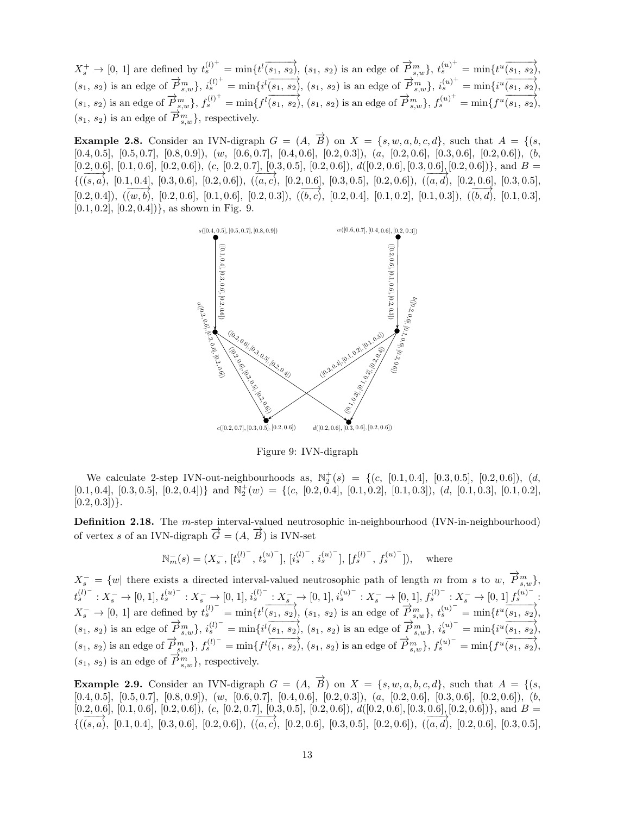$X_s^+ \to [0, 1]$  are defined by  $t_s^{(l)^+} = \min\{t^l \overrightarrow{(s_1, s_2)}, (s_1, s_2) \text{ is an edge of } \overrightarrow{P}_{s,w}^m\},\ t_s^{(u)^+} = \min\{t^u \overrightarrow{(s_1, s_2)}, (s_1, s_2) \text{ is an edge of } \overrightarrow{P}_{s,w}^m\}$  $(s_1, s_2)$  is an edge of  $\overrightarrow{P}_{s,w}^m$ ,  $i_s^{(l)^+} = \min\{i^l(s_1, s_2), (s_1, s_2)$  is an edge of  $\overrightarrow{P}_{s,w}^m$ ,  $i_s^{(u)^+} = \min\{i^u(s_1, s_2), (s_1, s_2) \}$  $(s_1, s_2)$  is an edge of  $\overrightarrow{P}_{s,w}^{m}$ ,  $f_s^{(l)^+} = \min\{f^l(s_1, s_2), (s_1, s_2)$  is an edge of  $\overrightarrow{P}_{s,w}^{m}$ ,  $f_s^{(u)^+} = \min\{f^u(s_1, s_2), (s_1, s_2)$  $(s_1, s_2)$  is an edge of  $\overrightarrow{P}_{s,w}^{m}$ , respectively.

**Example 2.8.** Consider an IVN-digraph  $G = (A, \overrightarrow{B})$  on  $X = \{s, w, a, b, c, d\}$ , such that  $A = \{(s, A) \in \mathbb{R}^d : |f| \leq |g| \leq 2\}$  $[0.4, 0.5]$ ,  $[0.5, 0.7]$ ,  $[0.8, 0.9]$ ),  $(w, [0.6, 0.7]$ ,  $[0.4, 0.6]$ ,  $[0.2, 0.3]$ ),  $(a, [0.2, 0.6]$ ,  $[0.3, 0.6]$ ,  $[0.2, 0.6]$ ),  $(b, b, 0.7]$  $[0.2, 0.6], [0.1, 0.6], [0.2, 0.6]), (c, [0.2, 0.7], [0.3, 0.5], [0.2, 0.6]), d([0.2, 0.6], [0.3, 0.6], [0.2, 0.6])\}$ , and  $B =$  ${((s, a), [0.1, 0.4], [0.3, 0.6], [0.2, 0.6]), ((a, c), [0.2, 0.6], [0.3, 0.5], [0.2, 0.6]), ((a, d), [0.2, 0.6], [0.3, 0.5],$  $[0.2, 0.4]$ ,  $(\overrightarrow{(w, b)}, [0.2, 0.6], [0.1, 0.6], [0.2, 0.3]),$   $(\overrightarrow{(b, c)}, [0.2, 0.4], [0.1, 0.2], [0.1, 0.3]),$   $(\overrightarrow{(b, d)}, [0.1, 0.3],$  $[0.1, 0.2], [0.2, 0.4])$ , as shown in Fig. 9.



Figure 9: IVN-digraph

We calculate 2-step IVN-out-neighbourhoods as,  $\mathbb{N}_2^+(s) = \{(c, [0.1, 0.4], [0.3, 0.5], [0.2, 0.6]), (d,$  $[0.1, 0.4], [0.3, 0.5], [0.2, 0.4])\}$  and  $\mathbb{N}_2^+(w) = \{(c, [0.2, 0.4], [0.1, 0.2], [0.1, 0.3]), (d, [0.1, 0.3], [0.1, 0.2],$  $[0.2, 0.3]$ }.

Definition 2.18. The *m*-step interval-valued neutrosophic in-neighbourhood (IVN-in-neighbourhood) of vertex s of an IVN-digraph  $\overrightarrow{G} = (A, \overrightarrow{B})$  is IVN-set

$$
\mathbb{N}_m^-(s)=(X_s^-,\, [t_s^{(l)^-},\,t_s^{(u)^-}],\,[i_s^{(l)^-},\,i_s^{(u)^-}],\,[f_s^{(l)^-},\,f_s^{(u)^-}]), \quad \text{where}
$$

 $X_s^- = \{w \vert$  there exists a directed interval-valued neutrosophic path of length m from s to w,  $\vec{P}_{s,w}^m\},$  $t_s^{(l)^{-}}: X_s^{-} \to [0, 1], t_s^{(u)^{-}}: X_s^{-} \to [0, 1], i_s^{(l)^{-}}: X_s^{-} \to [0, 1], i_s^{(u)^{-}}: X_s^{-} \to [0, 1], f_s^{(l)^{-}}: X_s^{-} \to [0, 1], f_s^{(u)^{-}}:$  $X_s^- \to [0, 1]$  are defined by  $t_s^{(l)^-} = \min\{t^l(s_1, s_2), (s_1, s_2) \text{ is an edge of } \overrightarrow{P}_{s,w}^m\}, t_s^{(u)^-} = \min\{t^u(s_1, s_2), (s_1, s_2) \text{ is an edge of } \overrightarrow{P}_{s,w}^m\}$  $(s_1, s_2)$  is an edge of  $\vec{P}_{s,w}^m$ ,  $i_s^{(l)^{-}} = \min\{i^l(s_1, s_2), (s_1, s_2)$  is an edge of  $\vec{P}_{s,w}^m$ ,  $i_s^{(u)^{-}} = \min\{i^u(s_1, s_2), (s_1, s_2) \}$  $(s_1, s_2)$  is an edge of  $\overrightarrow{P}_{s,w}^{(n)}, f_s^{(l)^{-}} = \min\{f^l(s_1, s_2), (s_1, s_2)$  is an edge of  $\overrightarrow{P}_{s,w}^{(n)}, f_s^{(u)^{-}} = \min\{f^u(s_1, s_2), (s_1, s_2) \}$  $(s_1, s_2)$  is an edge of  $\overrightarrow{P}_{s,w}^m$ , respectively.

**Example 2.9.** Consider an IVN-digraph  $G = (A, \overrightarrow{B})$  on  $X = \{s, w, a, b, c, d\}$ , such that  $A = \{(s, A) \in \mathbb{R}^d : |f| \leq |g| \leq 2\}$  $[0.4, 0.5], [0.5, 0.7], [0.8, 0.9]), (w, [0.6, 0.7], [0.4, 0.6], [0.2, 0.3]), (a, [0.2, 0.6], [0.3, 0.6], [0.2, 0.6]), (b,$  $[0.2, 0.6], [0.1, 0.6], [0.2, 0.6]), (c, [0.2, 0.7], [0.3, 0.5], [0.2, 0.6]), d([0.2, 0.6], [0.3, 0.6], [0.2, 0.6])\}$ , and  $B =$  ${((s, a), (0.1, 0.4), (0.3, 0.6), (0.2, 0.6), (0.2, 0.6), (0.2, 0.6), (0.3, 0.5), (0.2, 0.6)}, (0.3, 0.5), (0.4, 0.6), (0.3, 0.5), (0.2, 0.6), (0.3, 0.5), (0.3, 0.6), (0.3, 0.5), (0.3, 0.6), (0.3, 0.6), (0.3, 0.6), (0.3, 0.6), (0.3, 0.6), (0.3, 0.6), (0.3, 0.6), (0.3$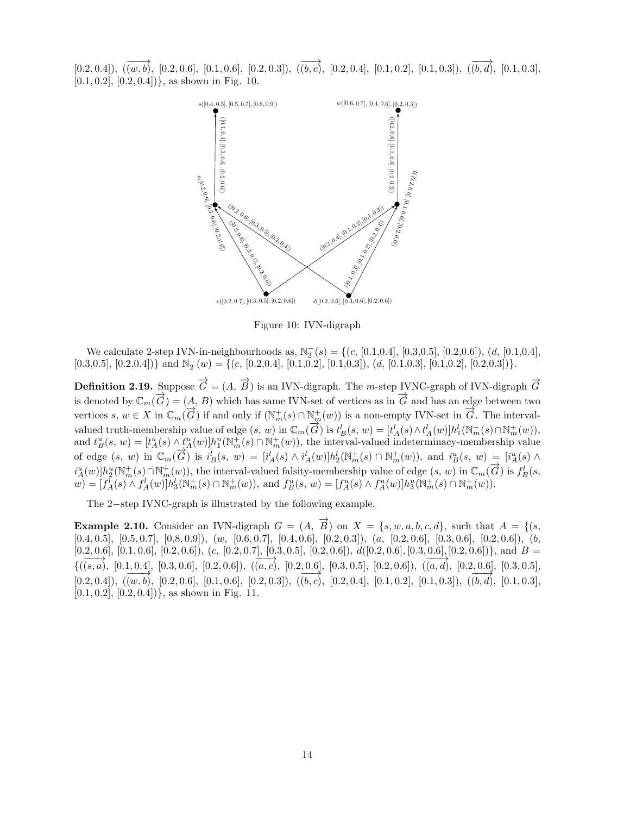$[0.2, 0.4]$ ,  $(\overrightarrow{(w, b)}, [0.2, 0.6], [0.1, 0.6], [0.2, 0.3]),$   $(\overrightarrow{(b, c)}, [0.2, 0.4], [0.1, 0.2], [0.1, 0.3]),$   $(\overrightarrow{(b, d)}, [0.1, 0.3],$  $[0.1, 0.2]$ ,  $[0.2, 0.4]$ }, as shown in Fig. 10.



Figure 10: IVN-digraph

We calculate 2-step IVN-in-neighbourhoods as,  $\mathbb{N}_2^-(s) = \{(c, [0.1, 0.4], [0.3, 0.5], [0.2, 0.6]), (d, [0.1, 0.4],$  $[0.3, 0.5], [0.2, 0.4])\}$  and  $\mathbb{N}_2^-(w) = \{(c, [0.2, 0.4], [0.1, 0.2], [0.1, 0.3]), (d, [0.1, 0.3], [0.1, 0.2], [0.2, 0.3])\}.$ 

**Definition 2.19.** Suppose  $\overrightarrow{G} = (A, \overrightarrow{B})$  is an IVN-digraph. The m-step IVNC-graph of IVN-digraph  $\overrightarrow{G}$ is denoted by  $\mathbb{C}_m(\overrightarrow{G}) = (A, B)$  which has same IVN-set of vertices as in  $\overrightarrow{G}$  and has an edge between two vertices  $s, w \in X$  in  $\mathbb{C}_m(\overline{G})$  if and only if  $(\mathbb{N}_m^+(s) \cap \mathbb{N}_m^+(w))$  is a non-empty IVN-set in  $\overline{G}$ . The intervalvalued truth-membership value of edge  $(s, w)$  in  $\mathbb{C}_m(\overrightarrow{G})$  is  $t_B^1(s, w) = [t_A^1(s) \wedge t_A^1(w)]h_1^1(\mathbb{N}_m^+(s) \cap \mathbb{N}_m^+(w)),$ and  $t_B^u(s, w) = [t_A^u(s) \wedge t_A^u(w)]h_1^u(\mathbb{N}_m^+(s) \cap \mathbb{N}_m^+(w)),$  the interval-valued indeterminacy-membership value of edge  $(s, w)$  in  $\mathbb{C}_m(\overrightarrow{G})$  is  $i_B^l(s, w) = [i_A^l(s) \wedge i_A^l(w)]h_2^l(\mathbb{N}_m^+(s) \cap \mathbb{N}_m^+(w))$ , and  $i_B^u(s, w) = [i_A^u(s) \wedge i_A^l(w)]h_2^l(\mathbb{N}_m^+(s) \cap \mathbb{N}_m^+(w))$  $i_A^u(w)$  $h_2^u(\mathbb{N}_m^+(s) \cap \mathbb{N}_m^+(w))$ , the interval-valued falsity-membership value of edge  $(s, w)$  in  $\mathbb{C}_m(\overrightarrow{G})$  is  $f_B^l(s, w)$  $\mathcal{L}(w) = [f_A^{\bar{l}}(s) \wedge f_A^{\bar{l}}(w)]h_3^{\bar{l}}(\mathbb{N}_m^+(s) \cap \mathbb{N}_m^+(w)),$  and  $f_B^u(s, w) = [f_A^u(s) \wedge f_A^u(w)]h_3^u(\mathbb{N}_m^+(s) \cap \mathbb{N}_m^+(w)).$ 

The 2−step IVNC-graph is illustrated by the following example.

**Example 2.10.** Consider an IVN-digraph  $G = (A, \overrightarrow{B})$  on  $X = \{s, w, a, b, c, d\}$ , such that  $A = \{(s, \overrightarrow{B}) \mid s \in A\}$  $[0.4, 0.5]$ ,  $[0.5, 0.7]$ ,  $[0.8, 0.9]$ ),  $(w, [0.6, 0.7]$ ,  $[0.4, 0.6]$ ,  $[0.2, 0.3]$ ),  $(a, [0.2, 0.6]$ ,  $[0.3, 0.6]$ ,  $[0.2, 0.6]$ ),  $(b, b, 0.5]$  $[0.2, 0.6], [0.1, 0.6], [0.2, 0.6]), (c, [0.2, 0.7], [0.3, 0.5], [0.2, 0.6]), d([0.2, 0.6], [0.3, 0.6], [0.2, 0.6])\}$ , and  $B =$  ${((s, a), [0.1, 0.4], [0.3, 0.6], [0.2, 0.6]), ((a, c), [0.2, 0.6], [0.3, 0.5], [0.2, 0.6]), ((a, d), [0.2, 0.6], [0.3, 0.5],$  $(0.2, 0.4]$ ,  $((\overline{w}, \overline{b}), [0.2, 0.6], [0.1, 0.6], [0.2, 0.3]), ((\overline{b}, \overline{c}), [0.2, 0.4], [0.1, 0.2], [0.1, 0.3]), ((\overline{b}, \overline{d}), [0.1, 0.3],$  $[0.1, 0.2], [0.2, 0.4])$ , as shown in Fig. 11.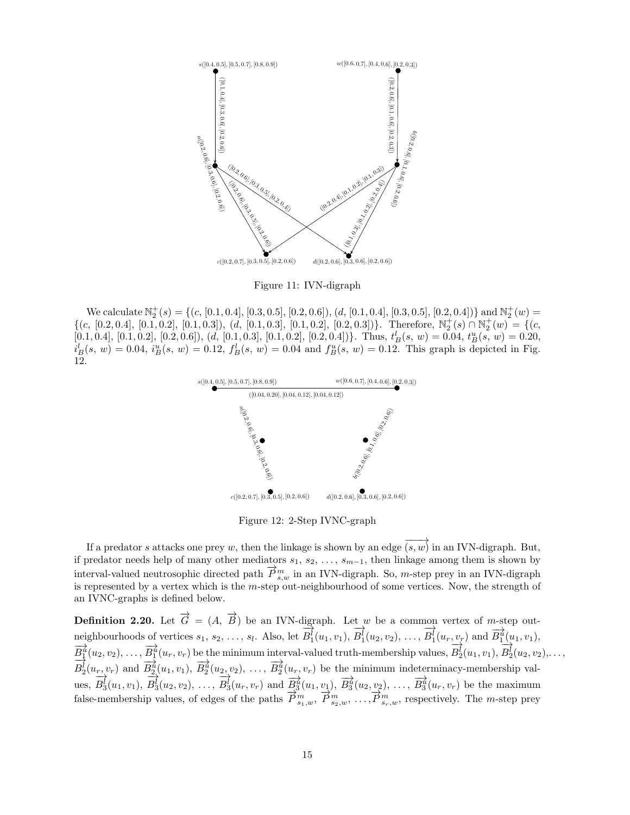

Figure 11: IVN-digraph

We calculate  $\mathbb{N}_2^+(s) = \{(c, [0.1, 0.4], [0.3, 0.5], [0.2, 0.6]), (d, [0.1, 0.4], [0.3, 0.5], [0.2, 0.4])\}$  and  $\mathbb{N}_2^+(w) =$  $\{(c, [0.2, 0.4], [0.1, 0.2], [0.1, 0.3]), (d, [0.1, 0.3], [0.1, 0.2], [0.2, 0.3])\}.$  Therefore,  $\mathbb{N}_2^+(s) \cap \mathbb{N}_2^+(w) = \{(c, [0.2, 0.4], [0.1, 0.2], [0.1, 0.3], [0.1, 0.2], [0.2, 0.3])\}.$  $[0.1, 0.4], [0.1, 0.2], [0.2, 0.6]), (d, [0.1, 0.3], [0.1, 0.2], [0.2, 0.4])\}$ . Thus,  $t_B^l(s, w) = 0.04$ ,  $t_B^u(s, w) = 0.20$ ,  $i_B^l(s, w) = 0.04$ ,  $i_B^u(s, w) = 0.12$ ,  $f_B^l(s, w) = 0.04$  and  $f_B^u(s, w) = 0.12$ . This graph is depicted in Fig. 12.



Figure 12: 2-Step IVNC-graph

If a predator s attacks one prey w, then the linkage is shown by an edge  $\overrightarrow{(s,w)}$  in an IVN-digraph. But, if predator needs help of many other mediators  $s_1, s_2, \ldots, s_{m-1}$ , then linkage among them is shown by interval-valued neutrosophic directed path  $\vec{P}_{s,w}^{m}$  in an IVN-digraph. So, *m*-step prey in an IVN-digraph is represented by a vertex which is the m-step out-neighbourhood of some vertices. Now, the strength of an IVNC-graphs is defined below.

**Definition 2.20.** Let  $\overrightarrow{G} = (A, \overrightarrow{B})$  be an IVN-digraph. Let w be a common vertex of m-step outneighbourhoods of vertices  $s_1, s_2, \ldots, s_l$ . Also, let  $\overrightarrow{B_1}(u_1, v_1),$  $\overrightarrow{B_1}(u_2, v_2), \ldots,$  $\overrightarrow{B_1}(u_r, v_r)$  and  $\overrightarrow{B_1^d}(u_1, v_1)$ ,  $\overrightarrow{B_1^2}(u_2, v_2), \ldots, \overrightarrow{B_1^n}(u_r, v_r)$  be the minimum interval-valued truth-membership values,  $\overrightarrow{B_2}(u_1, v_1),$  $\overrightarrow{B_2}(u_2, v_2), \ldots,$  $\overline{B_2^1}(u_1, v_1)$  and  $\overline{B_2^u}(u_1, v_1)$ ,  $\overline{B_2^u}(u_2, v_2)$ , ...,  $\overline{B_2^u}(u_r, v_r)$  be the minimum indeterminacy-membership values,  $\overrightarrow{B_3}(u_1, v_1),$  $\overrightarrow{B_3}(u_2, v_2), \ldots,$  $-\frac{1}{2}$ ,  $-\frac{1}{2}$ ,  $-\frac{1}{2}$ ,  $-\frac{1}{2}$ ,  $-\frac{1}{2}$ ,  $-\frac{1}{2}$ ,  $-\frac{1}{2}$ ,  $-\frac{1}{2}$ ,  $-\frac{1}{2}$ ,  $-\frac{1}{2}$ ,  $-\frac{1}{2}$ ,  $-\frac{1}{2}$ ,  $-\frac{1}{2}$ ,  $-\frac{1}{2}$ ,  $-\frac{1}{2}$ ,  $-\frac{1}{2}$ ,  $-\frac{1}{2}$ ,  $-\frac{1}{2}$ ,  $-\frac{1}{2}$ ,  $-\frac{1}{2}$ ,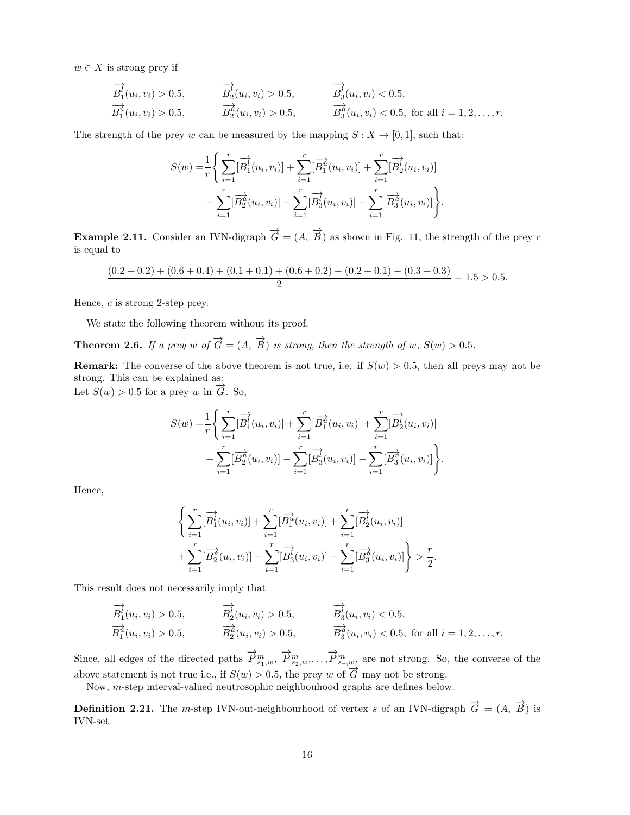$w \in X$  is strong prey if

$$
\overrightarrow{B_1^l}(u_i, v_i) > 0.5, \qquad \overrightarrow{B_2^l}(u_i, v_i) > 0.5, \qquad \overrightarrow{B_3^l}(u_i, v_i) < 0.5, \n\overrightarrow{B_1^a}(u_i, v_i) > 0.5, \qquad \overrightarrow{B_3^a}(u_i, v_i) < 0.5, \text{ for all } i = 1, 2, ..., r.
$$

The strength of the prey w can be measured by the mapping  $S: X \to [0, 1]$ , such that:

$$
S(w) = \frac{1}{r} \Bigg\{ \sum_{i=1}^{r} [\overrightarrow{B}_{1}^{i}(u_{i}, v_{i})] + \sum_{i=1}^{r} [\overrightarrow{B}_{1}^{i}(u_{i}, v_{i})] + \sum_{i=1}^{r} [\overrightarrow{B}_{2}^{i}(u_{i}, v_{i})] + \sum_{i=1}^{r} [\overrightarrow{B}_{2}^{i}(u_{i}, v_{i})] - \sum_{i=1}^{r} [\overrightarrow{B}_{3}^{i}(u_{i}, v_{i})] - \sum_{i=1}^{r} [\overrightarrow{B}_{3}^{i}(u_{i}, v_{i})] \Bigg\}.
$$

**Example 2.11.** Consider an IVN-digraph  $\overrightarrow{G} = (A, \overrightarrow{B})$  as shown in Fig. 11, the strength of the prey c is equal to

$$
\frac{(0.2+0.2)+(0.6+0.4)+(0.1+0.1)+(0.6+0.2)-(0.2+0.1)-(0.3+0.3)}{2} = 1.5 > 0.5.
$$

Hence, c is strong 2-step prey.

We state the following theorem without its proof.

**Theorem 2.6.** *If a prey w of*  $\overrightarrow{G} = (A, \overrightarrow{B})$  *is strong, then the strength of w,*  $S(w) > 0.5$ *.* 

**Remark:** The converse of the above theorem is not true, i.e. if  $S(w) > 0.5$ , then all preys may not be strong. This can be explained as:

Let  $S(w) > 0.5$  for a prey w in  $\overrightarrow{G}$ . So,

$$
S(w) = \frac{1}{r} \Bigg\{ \sum_{i=1}^r [\overrightarrow{B_1^i}(u_i, v_i)] + \sum_{i=1}^r [\overrightarrow{B_1^i}(u_i, v_i)] + \sum_{i=1}^r [\overrightarrow{B_2^i}(u_i, v_i)] + \sum_{i=1}^r [\overrightarrow{B_2^i}(u_i, v_i)] - \sum_{i=1}^r [\overrightarrow{B_3^i}(u_i, v_i)] - \sum_{i=1}^r [\overrightarrow{B_3^i}(u_i, v_i)] \Bigg\}.
$$

Hence,

$$
\left\{\sum_{i=1}^r [\overrightarrow{B_1^i}(u_i, v_i)] + \sum_{i=1}^r [\overrightarrow{B_1^a}(u_i, v_i)] + \sum_{i=1}^r [\overrightarrow{B_2^i}(u_i, v_i)] + \sum_{i=1}^r [\overrightarrow{B_2^a}(u_i, v_i)] - \sum_{i=1}^r [\overrightarrow{B_3^a}(u_i, v_i)]\right\} > \frac{r}{2}.
$$

This result does not necessarily imply that

$$
\overrightarrow{B_1^l}(u_i, v_i) > 0.5, \qquad \overrightarrow{B_2^l}(u_i, v_i) > 0.5, \qquad \overrightarrow{B_3^l}(u_i, v_i) < 0.5, \n\overrightarrow{B_1^u}(u_i, v_i) > 0.5, \qquad \overrightarrow{B_3^u}(u_i, v_i) < 0.5, \text{ for all } i = 1, 2, ..., r.
$$

Since, all edges of the directed paths  $\overrightarrow{P}_{s_1,w}^m$ ,  $\overrightarrow{P}_{s_2,w}^m$ , ...,  $\overrightarrow{P}_{s_r,w}^m$  are not strong. So, the converse of the above statement is not true i.e., if  $S(w) > 0.5$ , the prey w of  $\overrightarrow{G}$  may not be strong.

Now, m-step interval-valued neutrosophic neighbouhood graphs are defines below.

**Definition 2.21.** The m-step IVN-out-neighbourhood of vertex s of an IVN-digraph  $\overrightarrow{G} = (A, \overrightarrow{B})$  is IVN-set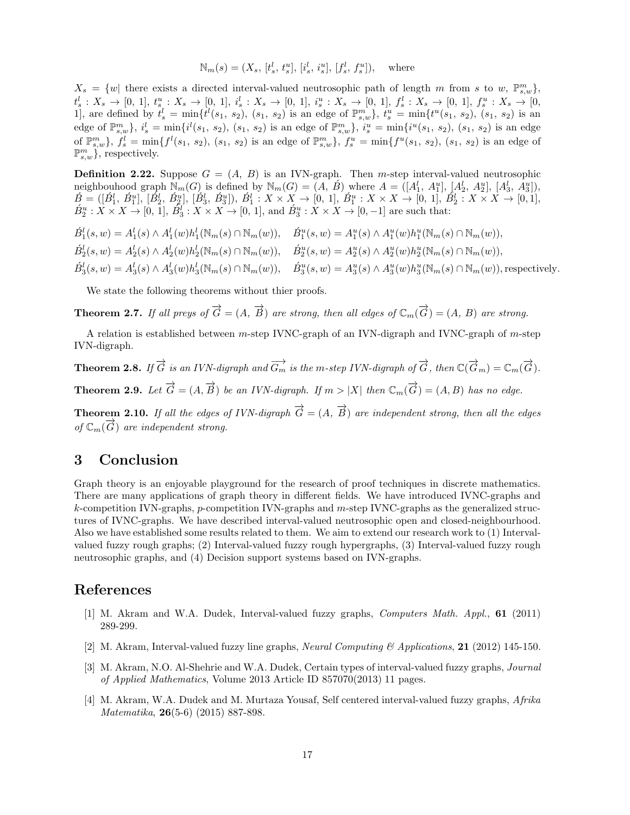$$
\mathbb{N}_m(s) = (X_s, [t_s^l, t_s^u], [i_s^l, i_s^u], [f_s^l, f_s^u]), \text{ where}
$$

 $X_s = \{w \mid \text{there exists a directed interval-valued neutrosophic path of length } m \text{ from } s \text{ to } w, \mathbb{P}_{s,w}^m \},$  $t_s^l: X_s \to [0, 1], t_s^u: X_s \to [0, 1], i_s^l: X_s \to [0, 1], i_s^u: X_s \to [0, 1], f_s^l: X_s \to [0, 1], f_s^u: X_s \to [0, 1],$ 1, are defined by  $t_s^l = \min\{t^l(s_1, s_2), (s_1, s_2) \text{ is an edge of } \mathbb{P}_{s,w}^m\}, t_s^u = \min\{t^u(s_1, s_2), (s_1, s_2) \text{ is an } \mathbb{P}_{s,w}^m\}$ edge of  $\mathbb{P}_{s,w}^m$ ,  $i_s^l = \min\{i^l(s_1, s_2), (s_1, s_2)$  is an edge of  $\mathbb{P}_{s,w}^m$ ,  $i_s^u = \min\{i^u(s_1, s_2), (s_1, s_2)$  is an edge of  $\mathbb{P}_{s,w}^m$ ,  $f_s^l = \min\{f^l(s_1, s_2), (s_1, s_2)$  is an edge of  $\mathbb{P}_{s,w}^m$ ,  $f_s^u = \min\{f^u(s_1, s_2), (s_1, s_2)$  is an edge of  $\mathbb{P}_{s,w}^m$ , respectively.

**Definition 2.22.** Suppose  $G = (A, B)$  is an IVN-graph. Then m-step interval-valued neutrosophic neighbouhood graph  $\mathbb{N}_m(G)$  is defined by  $\mathbb{N}_m(G) = (A, \tilde{B})$  where  $A = ([A_1^l, A_1^u], [A_2^l, A_2^u], [A_3^l, A_3^u]),$  $\acute{B} = ([\acute{B}^l_1, \acute{B}^u_1], [\acute{B}^l_2, \acute{B}^u_2], [\acute{B}^l_3, \acute{B}^u_3]), \acute{B}^l_1: X \times X \rightarrow [0, 1], \acute{B}^u_1: X \times X \rightarrow [0, 1], \acute{B}^l_2: X \times X \rightarrow [0, 1],$  $\hat{B}_2^u: X \times X \to [0, 1], \hat{B}_3^l: X \times X \to [0, 1],$  and  $\hat{B}_3^u: X \times X \to [0, -1]$  are such that:

$$
\hat{B}_1^l(s, w) = A_1^l(s) \wedge A_1^l(w) h_1^l(\mathbb{N}_m(s) \cap \mathbb{N}_m(w)), \quad \hat{B}_1^u(s, w) = A_1^u(s) \wedge A_1^u(w) h_1^u(\mathbb{N}_m(s) \cap \mathbb{N}_m(w)),
$$
  
\n
$$
\hat{B}_2^l(s, w) = A_2^l(s) \wedge A_2^l(w) h_2^l(\mathbb{N}_m(s) \cap \mathbb{N}_m(w)), \quad \hat{B}_2^u(s, w) = A_2^u(s) \wedge A_2^u(w) h_2^u(\mathbb{N}_m(s) \cap \mathbb{N}_m(w)),
$$
  
\n
$$
\hat{B}_3^l(s, w) = A_3^l(s) \wedge A_3^l(w) h_3^l(\mathbb{N}_m(s) \cap \mathbb{N}_m(w)), \quad \hat{B}_3^u(s, w) = A_3^u(s) \wedge A_3^u(w) h_3^u(\mathbb{N}_m(s) \cap \mathbb{N}_m(w)),
$$
 respectively.

We state the following theorems without thier proofs.

**Theorem 2.7.** *If all preys of*  $\overrightarrow{G} = (A, \overrightarrow{B})$  *are strong, then all edges of*  $\mathbb{C}_m(\overrightarrow{G}) = (A, B)$  *are strong.* 

A relation is established between m-step IVNC-graph of an IVN-digraph and IVNC-graph of m-step IVN-digraph.

**Theorem 2.8.** If  $\overrightarrow{G}$  is an IVN-digraph and  $\overrightarrow{G_m}$  is the m-step IVN-digraph of  $\overrightarrow{G}$ , then  $\mathbb{C}(\overrightarrow{G}_m) = \mathbb{C}_m(\overrightarrow{G})$ .

**Theorem 2.9.** Let  $\overrightarrow{G} = (A, \overrightarrow{B})$  be an IVN-digraph. If  $m > |X|$  then  $\mathbb{C}_m(\overrightarrow{G}) = (A, B)$  has no edge.

**Theorem 2.10.** If all the edges of IVN-digraph  $\overrightarrow{G} = (A, \overrightarrow{B})$  are independent strong, then all the edges  $\overline{C}_m(\overrightarrow{G})$  *are independent strong.* 

# 3 Conclusion

Graph theory is an enjoyable playground for the research of proof techniques in discrete mathematics. There are many applications of graph theory in different fields. We have introduced IVNC-graphs and  $k$ -competition IVN-graphs, p-competition IVN-graphs and m-step IVNC-graphs as the generalized structures of IVNC-graphs. We have described interval-valued neutrosophic open and closed-neighbourhood. Also we have established some results related to them. We aim to extend our research work to (1) Intervalvalued fuzzy rough graphs; (2) Interval-valued fuzzy rough hypergraphs, (3) Interval-valued fuzzy rough neutrosophic graphs, and (4) Decision support systems based on IVN-graphs.

## References

- [1] M. Akram and W.A. Dudek, Interval-valued fuzzy graphs, *Computers Math. Appl.*, 61 (2011) 289-299.
- [2] M. Akram, Interval-valued fuzzy line graphs, *Neural Computing & Applications*, 21 (2012) 145-150.
- [3] M. Akram, N.O. Al-Shehrie and W.A. Dudek, Certain types of interval-valued fuzzy graphs, *Journal of Applied Mathematics*, Volume 2013 Article ID 857070(2013) 11 pages.
- [4] M. Akram, W.A. Dudek and M. Murtaza Yousaf, Self centered interval-valued fuzzy graphs, *Afrika Matematika*, 26(5-6) (2015) 887-898.